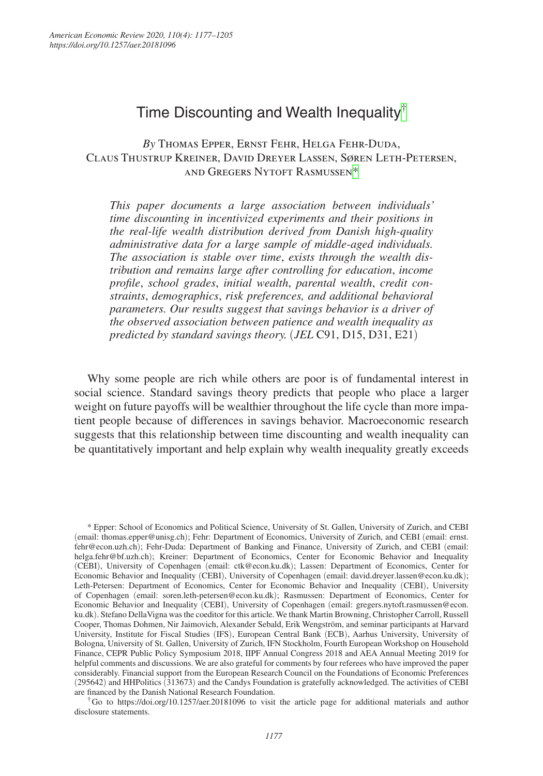# Time Discounting and Wealth Inequality[†](#page-0-0)

*By* Thomas Epper, Ernst Fehr, Helga Fehr-Duda, Claus Thustrup Kreiner, David Dreyer Lassen, Søren Leth-Petersen, and Gregers Nytoft Rasmusse[n\\*](#page-0-1)

*This paper documents a large association between individuals' time discounting in incentivized experiments and their positions in the real-life wealth distribution derived from Danish high-quality administrative data for a large sample of middle-aged individuals. The association is stable over time*, *exists through the wealth distribution and remains large after controlling for education*, *income profile*, *school grades*, *initial wealth*, *parental wealth*, *credit constraints*, *demographics*, *risk preferences, and additional behavioral parameters. Our results suggest that savings behavior is a driver of the observed association between patience and wealth inequality as predicted by standard savings theory.* (*JEL* C91, D15, D31, E21)

Why some people are rich while others are poor is of fundamental interest in social science. Standard savings theory predicts that people who place a larger weight on future payoffs will be wealthier throughout the life cycle than more impatient people because of differences in savings behavior. Macroeconomic research suggests that this relationship between time discounting and wealth inequality can be quantitatively important and help explain why wealth inequality greatly exceeds

<span id="page-0-1"></span>\* Epper: School of Economics and Political Science, University of St. Gallen, University of Zurich, and CEBI (email: [thomas.epper@unisg.ch](mailto:thomas.epper@unisg.ch)); Fehr: Department of Economics, University of Zurich, and CEBI (email: [ernst.](mailto:ernst.fehr@econ.uzh.ch) [fehr@econ.uzh.ch](mailto:ernst.fehr@econ.uzh.ch)); Fehr-Duda: Department of Banking and Finance, University of Zurich, and CEBI (email: [helga.fehr@bf.uzh.ch](mailto:helga.fehr@bf.uzh.ch)); Kreiner: Department of Economics, Center for Economic Behavior and Inequality (CEBI), University of Copenhagen (email: [ctk@econ.ku.dk](mailto:ctk@econ.ku.dk)); Lassen: Department of Economics, Center for Economic Behavior and Inequality (CEBI), University of Copenhagen (email: [david.dreyer.lassen@econ.ku.dk](mailto:david.dreyer.lassen@econ.ku.dk)); Leth-Petersen: Department of Economics, Center for Economic Behavior and Inequality (CEBI), University of Copenhagen (email: [soren.leth-petersen@econ.ku.dk](mailto:soren.%C2%ADleth-petersen%40econ.ku.dk?subject=)); Rasmussen: Department of Economics, Center for Economic Behavior and Inequality (CEBI), University of Copenhagen (email: [gregers.nytoft.rasmussen@econ.](mailto:gregers.nytoft.rasmussen@econ.ku.dk) [ku.dk](mailto:gregers.nytoft.rasmussen@econ.ku.dk)). Stefano DellaVigna was the coeditor for this article. We thank Martin Browning, Christopher Carroll, Russell Cooper, Thomas Dohmen, Nir Jaimovich, Alexander Sebald, Erik Wengström, and seminar participants at Harvard University, Institute for Fiscal Studies (IFS), European Central Bank (ECB), Aarhus University, University of Bologna, University of St. Gallen, University of Zurich, IFN Stockholm, Fourth European Workshop on Household Finance, CEPR Public Policy Symposium 2018, IIPF Annual Congress 2018 and AEA Annual Meeting 2019 for helpful comments and discussions. We are also grateful for comments by four referees who have improved the paper considerably. Financial support from the European Research Council on the Foundations of Economic Preferences (295642) and HHPolitics (313673) and the Candys Foundation is gratefully acknowledged. The activities of CEBI are financed by the Danish National Research Foundation.

<span id="page-0-0"></span>†Go to <https://doi.org/10.1257/aer.20181096>to visit the article page for additional materials and author disclosure statements.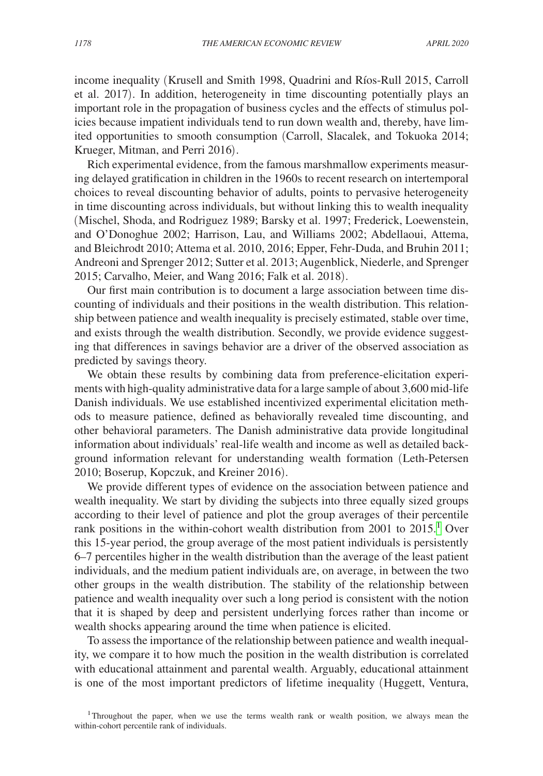income inequality (Krusell and Smith 1998, Quadrini and Ríos-Rull 2015, Carroll et al. 2017). In addition, heterogeneity in time discounting potentially plays an important role in the propagation of business cycles and the effects of stimulus policies because impatient individuals tend to run down wealth and, thereby, have limited opportunities to smooth consumption (Carroll, Slacalek, and Tokuoka 2014; Krueger, Mitman, and Perri 2016).

Rich experimental evidence, from the famous marshmallow experiments measuring delayed gratification in children in the 1960s to recent research on intertemporal choices to reveal discounting behavior of adults, points to pervasive heterogeneity in time discounting across individuals, but without linking this to wealth inequality (Mischel, Shoda, and Rodriguez 1989; Barsky et al. 1997; Frederick, Loewenstein, and O'Donoghue 2002; Harrison, Lau, and Williams 2002; Abdellaoui, Attema, and Bleichrodt 2010; Attema et al. 2010, 2016; Epper, Fehr-Duda, and Bruhin 2011; Andreoni and Sprenger 2012; Sutter et al. 2013; Augenblick, Niederle, and Sprenger 2015; Carvalho, Meier, and Wang 2016; Falk et al. 2018).

Our first main contribution is to document a large association between time discounting of individuals and their positions in the wealth distribution. This relationship between patience and wealth inequality is precisely estimated, stable over time, and exists through the wealth distribution. Secondly, we provide evidence suggesting that differences in savings behavior are a driver of the observed association as predicted by savings theory.

We obtain these results by combining data from preference-elicitation experiments with high-quality administrative data for a large sample of about 3,600 mid-life Danish individuals. We use established incentivized experimental elicitation methods to measure patience, defined as behaviorally revealed time discounting, and other behavioral parameters. The Danish administrative data provide longitudinal information about individuals' real-life wealth and income as well as detailed background information relevant for understanding wealth formation (Leth-Petersen 2010; Boserup, Kopczuk, and Kreiner 2016).

We provide different types of evidence on the association between patience and wealth inequality. We start by dividing the subjects into three equally sized groups according to their level of patience and plot the group averages of their percentile rank positions in the within-cohort wealth distribution from 200[1](#page-1-0) to  $2015$ .<sup>1</sup> Over this 15-year period, the group average of the most patient individuals is persistently 6–7 percentiles higher in the wealth distribution than the average of the least patient individuals, and the medium patient individuals are, on average, in between the two other groups in the wealth distribution. The stability of the relationship between patience and wealth inequality over such a long period is consistent with the notion that it is shaped by deep and persistent underlying forces rather than income or wealth shocks appearing around the time when patience is elicited.

To assess the importance of the relationship between patience and wealth inequality, we compare it to how much the position in the wealth distribution is correlated with educational attainment and parental wealth. Arguably, educational attainment is one of the most important predictors of lifetime inequality (Huggett, Ventura,

<span id="page-1-0"></span><sup>1</sup>Throughout the paper, when we use the terms wealth rank or wealth position, we always mean the within-cohort percentile rank of individuals.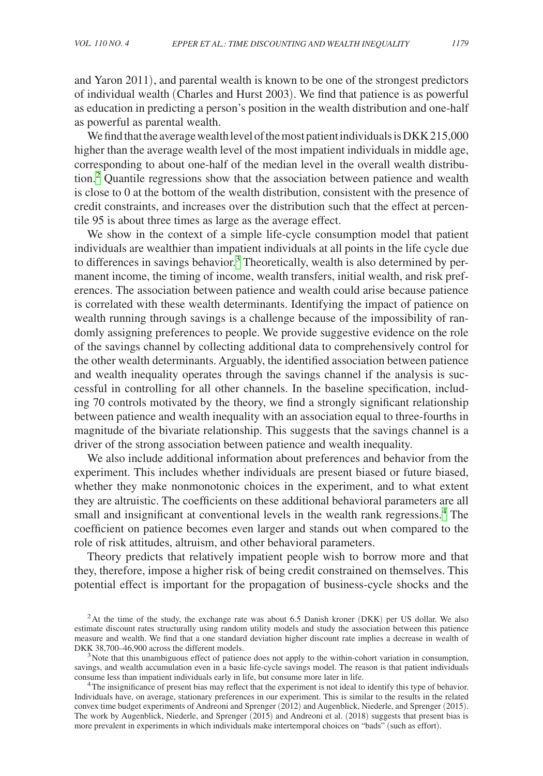and Yaron 2011), and parental wealth is known to be one of the strongest predictors of individual wealth (Charles and Hurst 2003). We find that patience is as powerful as education in predicting a person's position in the wealth distribution and one-half as powerful as parental wealth.

We find that the average wealth level of the most patient individuals is DKK 215,000 higher than the average wealth level of the most impatient individuals in middle age, corresponding to about one-half of the median level in the overall wealth distribu-tion.<sup>[2](#page-2-0)</sup> Quantile regressions show that the association between patience and wealth is close to 0 at the bottom of the wealth distribution, consistent with the presence of credit constraints, and increases over the distribution such that the effect at percentile 95 is about three times as large as the average effect.

We show in the context of a simple life-cycle consumption model that patient individuals are wealthier than impatient individuals at all points in the life cycle due to differences in savings behavior.<sup>[3](#page-2-1)</sup> Theoretically, wealth is also determined by permanent income, the timing of income, wealth transfers, initial wealth, and risk preferences. The association between patience and wealth could arise because patience is correlated with these wealth determinants. Identifying the impact of patience on wealth running through savings is a challenge because of the impossibility of randomly assigning preferences to people. We provide suggestive evidence on the role of the savings channel by collecting additional data to comprehensively control for the other wealth determinants. Arguably, the identified association between patience and wealth inequality operates through the savings channel if the analysis is successful in controlling for all other channels. In the baseline specification, including 70 controls motivated by the theory, we find a strongly significant relationship between patience and wealth inequality with an association equal to three-fourths in magnitude of the bivariate relationship. This suggests that the savings channel is a driver of the strong association between patience and wealth inequality.

We also include additional information about preferences and behavior from the experiment. This includes whether individuals are present biased or future biased, whether they make nonmonotonic choices in the experiment, and to what extent they are altruistic. The coefficients on these additional behavioral parameters are all small and insignificant at conventional levels in the wealth rank regressions.<sup>[4](#page-2-2)</sup> The coefficient on patience becomes even larger and stands out when compared to the role of risk attitudes, altruism, and other behavioral parameters.

Theory predicts that relatively impatient people wish to borrow more and that they, therefore, impose a higher risk of being credit constrained on themselves. This potential effect is important for the propagation of business-cycle shocks and the

<span id="page-2-0"></span><sup>&</sup>lt;sup>2</sup>At the time of the study, the exchange rate was about 6.5 Danish kroner (DKK) per US dollar. We also estimate discount rates structurally using random utility models and study the association between this patience measure and wealth. We find that a one standard deviation higher discount rate implies a decrease in wealth of DKK 38,700–46,900 across the different models.

<span id="page-2-1"></span> $<sup>3</sup>$  Note that this unambiguous effect of patience does not apply to the within-cohort variation in consumption,</sup> savings, and wealth accumulation even in a basic life-cycle savings model. The reason is that patient individuals consume less than impatient individuals early in life, but consume more later in life. 4The insignificance of present bias may reflect that the experiment is not ideal to identify this type of behavior.

<span id="page-2-2"></span>Individuals have, on average, stationary preferences in our experiment. This is similar to the results in the related convex time budget experiments of Andreoni and Sprenger (2012) and Augenblick, Niederle, and Sprenger (2015). The work by Augenblick, Niederle, and Sprenger (2015) and Andreoni et al. (2018) suggests that present bias is more prevalent in experiments in which individuals make intertemporal choices on "bads" (such as effort).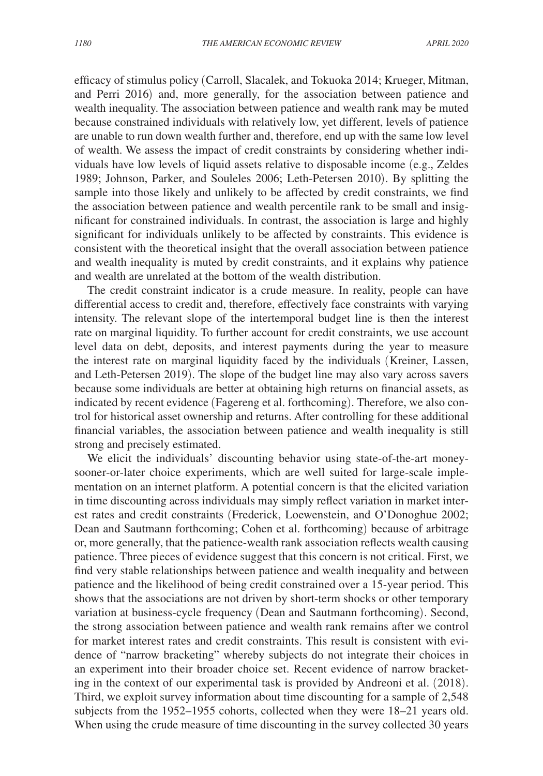efficacy of stimulus policy (Carroll, Slacalek, and Tokuoka 2014; Krueger, Mitman, and Perri 2016) and, more generally, for the association between patience and wealth inequality. The association between patience and wealth rank may be muted because constrained individuals with relatively low, yet different, levels of patience are unable to run down wealth further and, therefore, end up with the same low level of wealth. We assess the impact of credit constraints by considering whether individuals have low levels of liquid assets relative to disposable income (e.g., Zeldes 1989; Johnson, Parker, and Souleles 2006; Leth-Petersen 2010). By splitting the sample into those likely and unlikely to be affected by credit constraints, we find the association between patience and wealth percentile rank to be small and insignificant for constrained individuals. In contrast, the association is large and highly significant for individuals unlikely to be affected by constraints. This evidence is consistent with the theoretical insight that the overall association between patience and wealth inequality is muted by credit constraints, and it explains why patience and wealth are unrelated at the bottom of the wealth distribution.

The credit constraint indicator is a crude measure. In reality, people can have differential access to credit and, therefore, effectively face constraints with varying intensity. The relevant slope of the intertemporal budget line is then the interest rate on marginal liquidity. To further account for credit constraints, we use account level data on debt, deposits, and interest payments during the year to measure the interest rate on marginal liquidity faced by the individuals (Kreiner, Lassen, and Leth-Petersen 2019). The slope of the budget line may also vary across savers because some individuals are better at obtaining high returns on financial assets, as indicated by recent evidence (Fagereng et al. forthcoming). Therefore, we also control for historical asset ownership and returns. After controlling for these additional financial variables, the association between patience and wealth inequality is still strong and precisely estimated.

We elicit the individuals' discounting behavior using state-of-the-art moneysooner-or-later choice experiments, which are well suited for large-scale implementation on an internet platform. A potential concern is that the elicited variation in time discounting across individuals may simply reflect variation in market interest rates and credit constraints (Frederick, Loewenstein, and O'Donoghue 2002; Dean and Sautmann forthcoming; Cohen et al. forthcoming) because of arbitrage or, more generally, that the patience-wealth rank association reflects wealth causing patience. Three pieces of evidence suggest that this concern is not critical. First, we find very stable relationships between patience and wealth inequality and between patience and the likelihood of being credit constrained over a 15-year period. This shows that the associations are not driven by short-term shocks or other temporary variation at business-cycle frequency (Dean and Sautmann forthcoming). Second, the strong association between patience and wealth rank remains after we control for market interest rates and credit constraints. This result is consistent with evidence of "narrow bracketing" whereby subjects do not integrate their choices in an experiment into their broader choice set. Recent evidence of narrow bracketing in the context of our experimental task is provided by Andreoni et al. (2018). Third, we exploit survey information about time discounting for a sample of 2,548 subjects from the 1952–1955 cohorts, collected when they were 18–21 years old. When using the crude measure of time discounting in the survey collected 30 years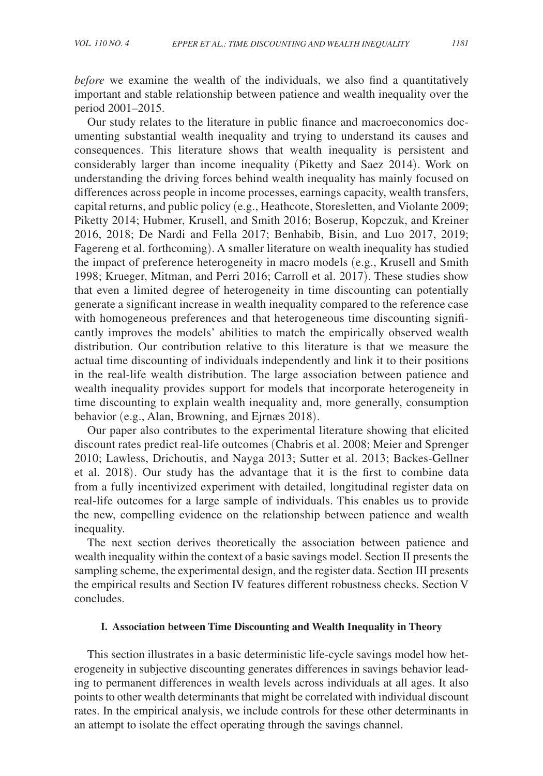*before* we examine the wealth of the individuals, we also find a quantitatively important and stable relationship between patience and wealth inequality over the period 2001–2015.

Our study relates to the literature in public finance and macroeconomics documenting substantial wealth inequality and trying to understand its causes and consequences. This literature shows that wealth inequality is persistent and considerably larger than income inequality (Piketty and Saez 2014). Work on understanding the driving forces behind wealth inequality has mainly focused on differences across people in income processes, earnings capacity, wealth transfers, capital returns, and public policy (e.g., Heathcote, Storesletten, and Violante 2009; Piketty 2014; Hubmer, Krusell, and Smith 2016; Boserup, Kopczuk, and Kreiner 2016, 2018; De Nardi and Fella 2017; Benhabib, Bisin, and Luo 2017, 2019; Fagereng et al. forthcoming). A smaller literature on wealth inequality has studied the impact of preference heterogeneity in macro models (e.g., Krusell and Smith 1998; Krueger, Mitman, and Perri 2016; Carroll et al. 2017). These studies show that even a limited degree of heterogeneity in time discounting can potentially generate a significant increase in wealth inequality compared to the reference case with homogeneous preferences and that heterogeneous time discounting significantly improves the models' abilities to match the empirically observed wealth distribution. Our contribution relative to this literature is that we measure the actual time discounting of individuals independently and link it to their positions in the real-life wealth distribution. The large association between patience and wealth inequality provides support for models that incorporate heterogeneity in time discounting to explain wealth inequality and, more generally, consumption behavior (e.g., Alan, Browning, and Ejrnæs 2018).

Our paper also contributes to the experimental literature showing that elicited discount rates predict real-life outcomes (Chabris et al. 2008; Meier and Sprenger 2010; Lawless, Drichoutis, and Nayga 2013; Sutter et al. 2013; Backes-Gellner et al. 2018). Our study has the advantage that it is the first to combine data from a fully incentivized experiment with detailed, longitudinal register data on real-life outcomes for a large sample of individuals. This enables us to provide the new, compelling evidence on the relationship between patience and wealth inequality.

The next section derives theoretically the association between patience and wealth inequality within the context of a basic savings model. Section II presents the sampling scheme, the experimental design, and the register data. Section III presents the empirical results and Section IV features different robustness checks. Section V concludes.

#### **I. Association between Time Discounting and Wealth Inequality in Theory**

This section illustrates in a basic deterministic life-cycle savings model how heterogeneity in subjective discounting generates differences in savings behavior leading to permanent differences in wealth levels across individuals at all ages. It also points to other wealth determinants that might be correlated with individual discount rates. In the empirical analysis, we include controls for these other determinants in an attempt to isolate the effect operating through the savings channel.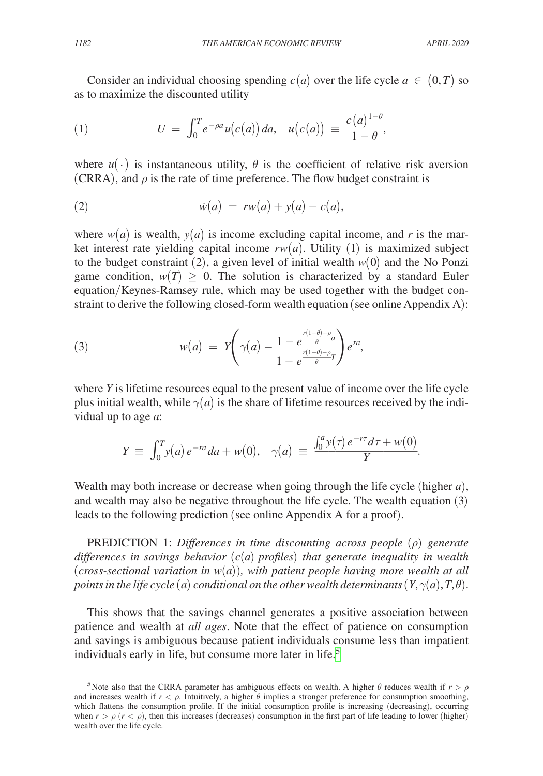Consider an individual choosing spending  $c(a)$  over the life cycle  $a \in (0,T)$  so as to maximize the discounted utility

as to maximize the discounted utility  
\n(1) 
$$
U = \int_0^T e^{-\rho a} u(c(a)) da, \quad u(c(a)) \equiv \frac{c(a)^{1-\theta}}{1-\theta},
$$

where  $u(\cdot)$  is instantaneous utility,  $\theta$  is the coefficient of relative risk aversion (CRRA), and  $\rho$  is the rate of time preference. The flow budget constraint is

(2) 
$$
\dot{w}(a) = rw(a) + y(a) - c(a),
$$

where  $w(a)$  is wealth,  $y(a)$  is income excluding capital income, and r is the market interest rate yielding capital income  $rw(a)$ . Utility (1) is maximized subject to the budget constraint  $(2)$ , a given level of initial wealth  $w(0)$  and the No Ponzi game condition,  $w(T) \geq 0$ . The solution is characterized by a standard Euler straint to derive the following closed-form wealth equation (see online Appendix A):

equation/Keynes-Ramsey rule, which may be used together with the budget constraint to derive the following closed-form wealth equation (see online Appendix A):  
\n(3) 
$$
w(a) = Y \left( \gamma(a) - \frac{1 - e^{\frac{r(1-\theta)-\rho}{\theta}}}{1 - e^{\frac{r(1-\theta)-\rho}{\theta}}} \right) e^{ra},
$$

where *Y* is lifetime resources equal to the present value of income over the life cycle plus initial wealth, while  $\gamma(a)$  is the share of lifetime resources received by the individual up to age *a*:

$$
Y \equiv \int_0^T y(a) e^{-ra} da + w(0), \quad \gamma(a) \equiv \frac{\int_0^a y(\tau) e^{-r\tau} d\tau + w(0)}{Y}.
$$

Wealth may both increase or decrease when going through the life cycle (higher *a*), and wealth may also be negative throughout the life cycle. The wealth equation (3) leads to the following prediction (see online Appendix A for a proof).

PREDICTION 1: *Differences in time discounting across people* (ρ) *generate differences in savings behavior* (*c*(*a*) *profiles*) *that generate inequality in wealth*  (*cross-sectional variation in w*(*a*))*, with patient people having more wealth at all points in the life cycle (a) conditional on the other wealth determinants*  $(Y, \gamma(a), T, \theta)$ *.* 

This shows that the savings channel generates a positive association between patience and wealth at *all ages*. Note that the effect of patience on consumption and savings is ambiguous because patient individuals consume less than impatient individuals early in life, but consume more later in life.<sup>[5](#page-5-0)</sup>

<span id="page-5-0"></span><sup>&</sup>lt;sup>5</sup>Note also that the CRRA parameter has ambiguous effects on wealth. A higher  $\theta$  reduces wealth if  $r > \rho$ and increases wealth if  $r < \rho$ . Intuitively, a higher  $\theta$  implies a stronger preference for consumption smoothing, which flattens the consumption profile. If the initial consumption profile is increasing (decreasing), occurring when  $r > \rho$  ( $r < \rho$ ), then this increases (decreases) consumption in the first part of life leading to lower (higher) wealth over the life cycle.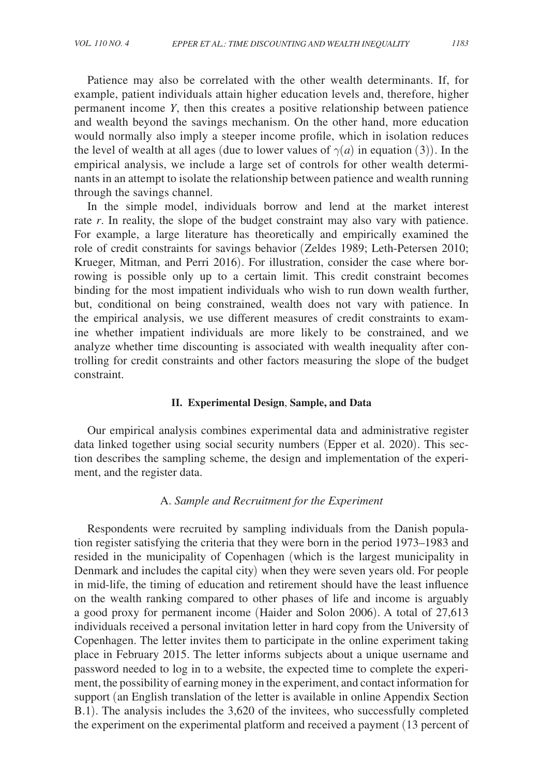Patience may also be correlated with the other wealth determinants. If, for example, patient individuals attain higher education levels and, therefore, higher permanent income *Y*, then this creates a positive relationship between patience and wealth beyond the savings mechanism. On the other hand, more education would normally also imply a steeper income profile, which in isolation reduces the level of wealth at all ages (due to lower values of  $\gamma(a)$  in equation (3)). In the empirical analysis, we include a large set of controls for other wealth determinants in an attempt to isolate the relationship between patience and wealth running through the savings channel.

In the simple model, individuals borrow and lend at the market interest rate *r*. In reality, the slope of the budget constraint may also vary with patience. For example, a large literature has theoretically and empirically examined the role of credit constraints for savings behavior (Zeldes 1989; Leth-Petersen 2010; Krueger, Mitman, and Perri 2016). For illustration, consider the case where borrowing is possible only up to a certain limit. This credit constraint becomes binding for the most impatient individuals who wish to run down wealth further, but, conditional on being constrained, wealth does not vary with patience. In the empirical analysis, we use different measures of credit constraints to examine whether impatient individuals are more likely to be constrained, and we analyze whether time discounting is associated with wealth inequality after controlling for credit constraints and other factors measuring the slope of the budget constraint.

#### **II. Experimental Design**, **Sample, and Data**

Our empirical analysis combines experimental data and administrative register data linked together using social security numbers (Epper et al. 2020). This section describes the sampling scheme, the design and implementation of the experiment, and the register data.

#### A. *Sample and Recruitment for the Experiment*

Respondents were recruited by sampling individuals from the Danish population register satisfying the criteria that they were born in the period 1973–1983 and resided in the municipality of Copenhagen (which is the largest municipality in Denmark and includes the capital city) when they were seven years old. For people in mid-life, the timing of education and retirement should have the least influence on the wealth ranking compared to other phases of life and income is arguably a good proxy for permanent income (Haider and Solon 2006). A total of 27,613 individuals received a personal invitation letter in hard copy from the University of Copenhagen. The letter invites them to participate in the online experiment taking place in February 2015. The letter informs subjects about a unique username and password needed to log in to a website, the expected time to complete the experiment, the possibility of earning money in the experiment, and contact information for support (an English translation of the letter is available in online Appendix Section B.1). The analysis includes the 3,620 of the invitees, who successfully completed the experiment on the experimental platform and received a payment (13 percent of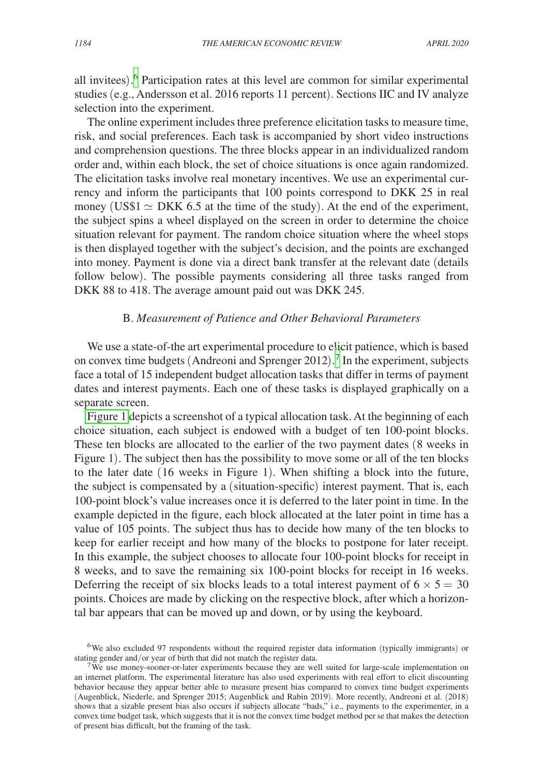all invitees). [6](#page-7-0) Participation rates at this level are common for similar experimental studies (e.g., Andersson et al. 2016 reports 11 percent). Sections IIC and IV analyze selection into the experiment.

The online experiment includes three preference elicitation tasks to measure time, risk, and social preferences. Each task is accompanied by short video instructions and comprehension questions. The three blocks appear in an individualized random order and, within each block, the set of choice situations is once again randomized. The elicitation tasks involve real monetary incentives. We use an experimental currency and inform the participants that 100 points correspond to DKK 25 in real money (US\$1  $\simeq$  DKK 6.5 at the time of the study). At the end of the experiment, the subject spins a wheel displayed on the screen in order to determine the choice situation relevant for payment. The random choice situation where the wheel stops is then displayed together with the subject's decision, and the points are exchanged into money. Payment is done via a direct bank transfer at the relevant date (details follow below). The possible payments considering all three tasks ranged from DKK 88 to 418. The average amount paid out was DKK 245.

### B. *Measurement of Patience and Other Behavioral Parameters*

We use a state-of-the art experimental procedure to elicit patience, which is based on convex time budgets (Andreoni and Sprenger 2012).<sup>[7](#page-7-1)</sup> In the experiment, subjects face a total of 15 independent budget allocation tasks that differ in terms of payment dates and interest payments. Each one of these tasks is displayed graphically on a separate screen.

[Figure 1](#page-8-0) depicts a screenshot of a typical allocation task. At the beginning of each choice situation, each subject is endowed with a budget of ten 100-point blocks. These ten blocks are allocated to the earlier of the two payment dates (8 weeks in Figure 1). The subject then has the possibility to move some or all of the ten blocks to the later date (16 weeks in Figure 1). When shifting a block into the future, the subject is compensated by a (situation-specific) interest payment. That is, each 100-point block's value increases once it is deferred to the later point in time. In the example depicted in the figure, each block allocated at the later point in time has a value of 105 points. The subject thus has to decide how many of the ten blocks to keep for earlier receipt and how many of the blocks to postpone for later receipt. In this example, the subject chooses to allocate four 100-point blocks for receipt in 8 weeks, and to save the remaining six 100-point blocks for receipt in 16 weeks. Deferring the receipt of six blocks leads to a total interest payment of  $6 \times 5 = 30$ points. Choices are made by clicking on the respective block, after which a horizontal bar appears that can be moved up and down, or by using the keyboard.

<span id="page-7-0"></span><sup>&</sup>lt;sup>6</sup>We also excluded 97 respondents without the required register data information (typically immigrants) or stating gender and/or year of birth that did not match the register data.

<span id="page-7-1"></span> $\frac{7}{2}$  We use money-sooner-or-later experiments because they are well suited for large-scale implementation on an internet platform. The experimental literature has also used experiments with real effort to elicit discounting behavior because they appear better able to measure present bias compared to convex time budget experiments (Augenblick, Niederle, and Sprenger 2015; Augenblick and Rabin 2019). More recently, Andreoni et al. (2018) shows that a sizable present bias also occurs if subjects allocate "bads," i.e., payments to the experimenter, in a convex time budget task, which suggests that it is not the convex time budget method per se that makes the detection of present bias difficult, but the framing of the task.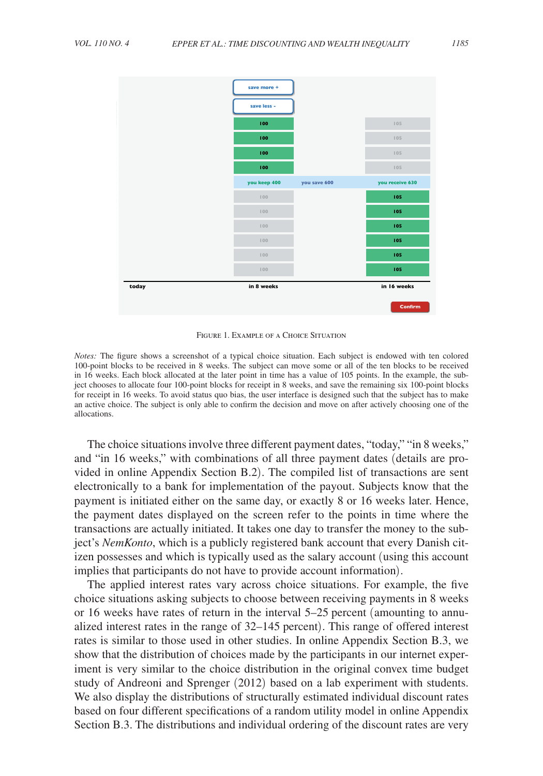<span id="page-8-0"></span>

Figure 1. Example of a Choice Situation

*Notes:* The figure shows a screenshot of a typical choice situation. Each subject is endowed with ten colored 100-point blocks to be received in 8 weeks. The subject can move some or all of the ten blocks to be received in 16 weeks. Each block allocated at the later point in time has a value of 105 points. In the example, the subject chooses to allocate four 100-point blocks for receipt in 8 weeks, and save the remaining six 100-point blocks for receipt in 16 weeks. To avoid status quo bias, the user interface is designed such that the subject has to make an active choice. The subject is only able to confirm the decision and move on after actively choosing one of the allocations.

The choice situations involve three different payment dates, "today," "in 8 weeks," and "in 16 weeks," with combinations of all three payment dates (details are provided in online Appendix Section B.2). The compiled list of transactions are sent electronically to a bank for implementation of the payout. Subjects know that the payment is initiated either on the same day, or exactly 8 or 16 weeks later. Hence, the payment dates displayed on the screen refer to the points in time where the transactions are actually initiated. It takes one day to transfer the money to the subject's *NemKonto*, which is a publicly registered bank account that every Danish citizen possesses and which is typically used as the salary account (using this account implies that participants do not have to provide account information).

The applied interest rates vary across choice situations. For example, the five choice situations asking subjects to choose between receiving payments in 8 weeks or 16 weeks have rates of return in the interval 5–25 percent (amounting to annualized interest rates in the range of 32–145 percent). This range of offered interest rates is similar to those used in other studies. In online Appendix Section B.3, we show that the distribution of choices made by the participants in our internet experiment is very similar to the choice distribution in the original convex time budget study of Andreoni and Sprenger (2012) based on a lab experiment with students. We also display the distributions of structurally estimated individual discount rates based on four different specifications of a random utility model in online Appendix Section B.3. The distributions and individual ordering of the discount rates are very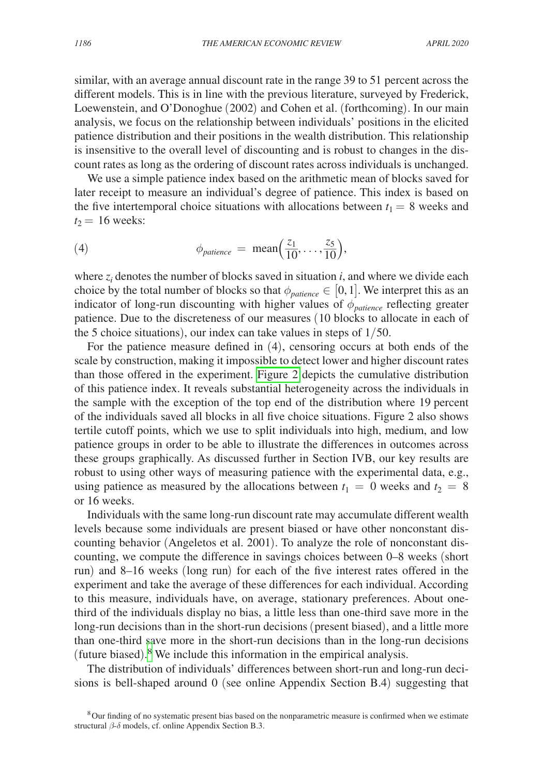similar, with an average annual discount rate in the range 39 to 51 percent across the different models. This is in line with the previous literature, surveyed by Frederick, Loewenstein, and O'Donoghue (2002) and Cohen et al. (forthcoming). In our main analysis, we focus on the relationship between individuals' positions in the elicited patience distribution and their positions in the wealth distribution. This relationship is insensitive to the overall level of discounting and is robust to changes in the discount rates as long as the ordering of discount rates across individuals is unchanged.

We use a simple patience index based on the arithmetic mean of blocks saved for later receipt to measure an individual's degree of patience. This index is based on the five intertemporal choice situations with allocations between  $t_1 = 8$  weeks and  $t_2$  = 16 weeks:

(4) 
$$
\phi_{\text{patience}} = \text{mean}\Big(\frac{z_1}{10}, \dots, \frac{z_5}{10}\Big),
$$

where  $z_i$  denotes the number of blocks saved in situation *i*, and where we divide each choice by the total number of blocks so that  $\phi_{\text{partience}} \in [0,1]$ . We interpret this as an indicator of long-run discounting with higher values of ϕ*patience* reflecting greater patience. Due to the discreteness of our measures (10 blocks to allocate in each of the 5 choice situations), our index can take values in steps of 1/50.

For the patience measure defined in (4), censoring occurs at both ends of the scale by construction, making it impossible to detect lower and higher discount rates than those offered in the experiment. [Figure 2](#page-10-0) depicts the cumulative distribution of this patience index. It reveals substantial heterogeneity across the individuals in the sample with the exception of the top end of the distribution where 19 percent of the individuals saved all blocks in all five choice situations. Figure 2 also shows tertile cutoff points, which we use to split individuals into high, medium, and low patience groups in order to be able to illustrate the differences in outcomes across these groups graphically. As discussed further in Section IVB, our key results are robust to using other ways of measuring patience with the experimental data, e.g., using patience as measured by the allocations between  $t_1 = 0$  weeks and  $t_2 = 8$ or 16 weeks.

Individuals with the same long-run discount rate may accumulate different wealth levels because some individuals are present biased or have other nonconstant discounting behavior (Angeletos et al. 2001). To analyze the role of nonconstant discounting, we compute the difference in savings choices between 0–8 weeks (short run) and 8–16 weeks (long run) for each of the five interest rates offered in the experiment and take the average of these differences for each individual. According to this measure, individuals have, on average, stationary preferences. About onethird of the individuals display no bias, a little less than one-third save more in the long-run decisions than in the short-run decisions (present biased), and a little more than one-third save more in the short-run decisions than in the long-run decisions (future biased). [8](#page-9-0) We include this information in the empirical analysis.

The distribution of individuals' differences between short-run and long-run decisions is bell-shaped around 0 (see online Appendix Section B.4) suggesting that

<span id="page-9-0"></span><sup>&</sup>lt;sup>8</sup>Our finding of no systematic present bias based on the nonparametric measure is confirmed when we estimate structural β-δ models, cf. online Appendix Section B.3.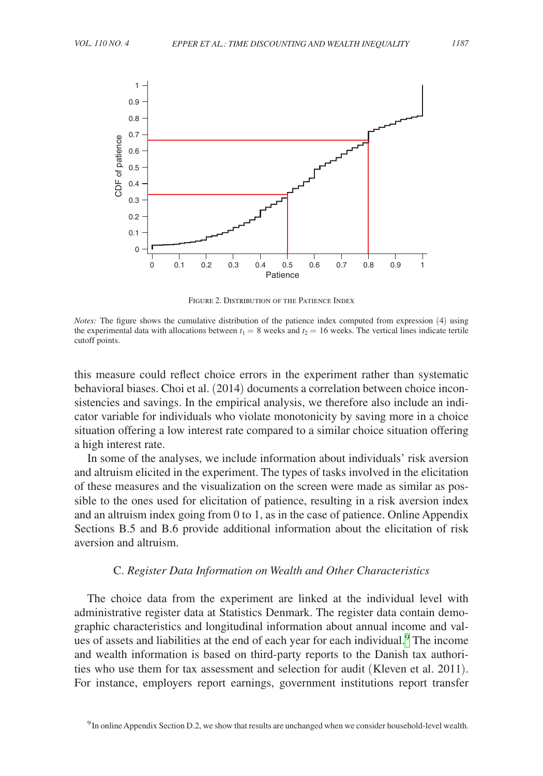<span id="page-10-0"></span>

Figure 2. Distribution of the Patience Index

*Notes:* The figure shows the cumulative distribution of the patience index computed from expression (4) using the experimental data with allocations between  $t_1 = 8$  weeks and  $t_2 = 16$  weeks. The vertical lines indicate tertile cutoff points.

this measure could reflect choice errors in the experiment rather than systematic behavioral biases. Choi et al. (2014) documents a correlation between choice inconsistencies and savings. In the empirical analysis, we therefore also include an indicator variable for individuals who violate monotonicity by saving more in a choice situation offering a low interest rate compared to a similar choice situation offering a high interest rate.

In some of the analyses, we include information about individuals' risk aversion and altruism elicited in the experiment. The types of tasks involved in the elicitation of these measures and the visualization on the screen were made as similar as possible to the ones used for elicitation of patience, resulting in a risk aversion index and an altruism index going from 0 to 1, as in the case of patience. Online Appendix Sections B.5 and B.6 provide additional information about the elicitation of risk aversion and altruism.

#### C. *Register Data Information on Wealth and Other Characteristics*

<span id="page-10-1"></span>The choice data from the experiment are linked at the individual level with administrative register data at Statistics Denmark. The register data contain demographic characteristics and longitudinal information about annual income and val- $\frac{1}{2}$  of assets and liabilities at the end of each year for each individual.<sup>[9](#page-10-1)</sup> The income and wealth information is based on third-party reports to the Danish tax authorities who use them for tax assessment and selection for audit (Kleven et al. 2011). For instance, employers report earnings, government institutions report transfer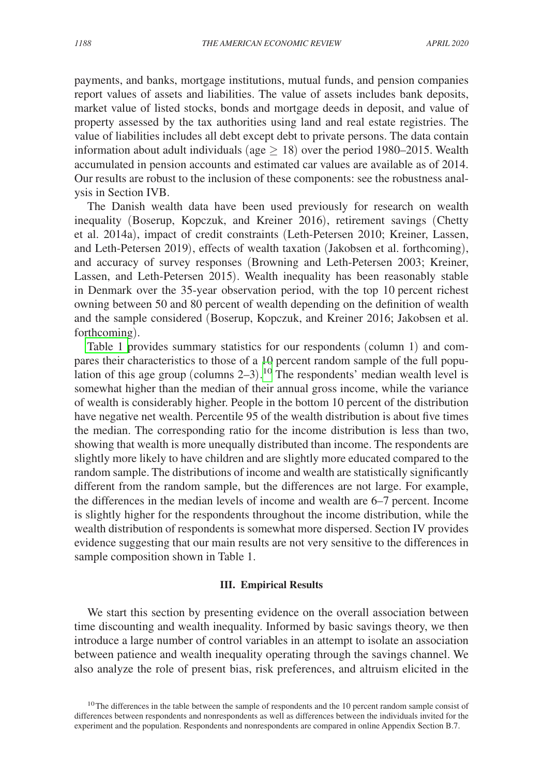payments, and banks, mortgage institutions, mutual funds, and pension companies report values of assets and liabilities. The value of assets includes bank deposits, market value of listed stocks, bonds and mortgage deeds in deposit, and value of property assessed by the tax authorities using land and real estate registries. The value of liabilities includes all debt except debt to private persons. The data contain information about adult individuals (age  $\geq$  18) over the period 1980–2015. Wealth accumulated in pension accounts and estimated car values are available as of 2014. Our results are robust to the inclusion of these components: see the robustness analysis in Section IVB.

The Danish wealth data have been used previously for research on wealth inequality (Boserup, Kopczuk, and Kreiner 2016), retirement savings (Chetty et al. 2014a), impact of credit constraints (Leth-Petersen 2010; Kreiner, Lassen, and Leth-Petersen 2019), effects of wealth taxation (Jakobsen et al. forthcoming), and accuracy of survey responses (Browning and Leth-Petersen 2003; Kreiner, Lassen, and Leth-Petersen 2015). Wealth inequality has been reasonably stable in Denmark over the 35-year observation period, with the top 10 percent richest owning between 50 and 80 percent of wealth depending on the definition of wealth and the sample considered (Boserup, Kopczuk, and Kreiner 2016; Jakobsen et al. forthcoming).

[Table 1](#page-12-0) provides summary statistics for our respondents (column 1) and compares their characteristics to those of a 10 percent random sample of the full population of this age group (columns  $2-3$ ).<sup>10</sup> The respondents' median wealth level is somewhat higher than the median of their annual gross income, while the variance of wealth is considerably higher. People in the bottom 10 percent of the distribution have negative net wealth. Percentile 95 of the wealth distribution is about five times the median. The corresponding ratio for the income distribution is less than two, showing that wealth is more unequally distributed than income. The respondents are slightly more likely to have children and are slightly more educated compared to the random sample. The distributions of income and wealth are statistically significantly different from the random sample, but the differences are not large. For example, the differences in the median levels of income and wealth are 6–7 percent. Income is slightly higher for the respondents throughout the income distribution, while the wealth distribution of respondents is somewhat more dispersed. Section IV provides evidence suggesting that our main results are not very sensitive to the differences in sample composition shown in Table 1.

#### **III. Empirical Results**

We start this section by presenting evidence on the overall association between time discounting and wealth inequality. Informed by basic savings theory, we then introduce a large number of control variables in an attempt to isolate an association between patience and wealth inequality operating through the savings channel. We also analyze the role of present bias, risk preferences, and altruism elicited in the

<span id="page-11-0"></span><sup>&</sup>lt;sup>10</sup>The differences in the table between the sample of respondents and the 10 percent random sample consist of differences between respondents and nonrespondents as well as differences between the individuals invited for the experiment and the population. Respondents and nonrespondents are compared in online Appendix Section B.7.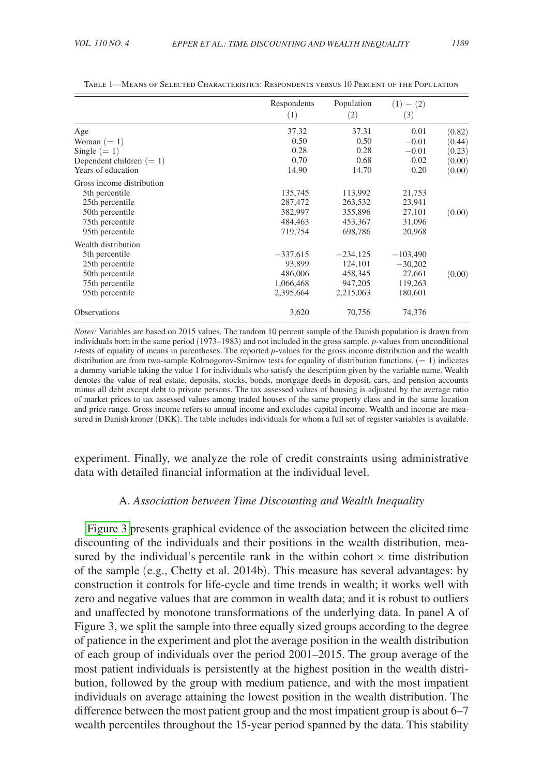|                            | Respondents<br>(1) | Population<br>$\left( 2\right)$ | $(1)-(2)$<br>(3) |        |
|----------------------------|--------------------|---------------------------------|------------------|--------|
| Age                        | 37.32              | 37.31                           | 0.01             | (0.82) |
| Woman $(= 1)$              | 0.50               | 0.50                            | $-0.01$          | (0.44) |
| Single $(= 1)$             | 0.28               | 0.28                            | $-0.01$          | (0.23) |
| Dependent children $(= 1)$ | 0.70               | 0.68                            | 0.02             | (0.00) |
| Years of education         | 14.90              | 14.70                           | 0.20             | (0.00) |
| Gross income distribution  |                    |                                 |                  |        |
| 5th percentile             | 135,745            | 113,992                         | 21,753           |        |
| 25th percentile            | 287,472            | 263,532                         | 23,941           |        |
| 50th percentile            | 382,997            | 355,896                         | 27,101           | (0.00) |
| 75th percentile            | 484,463            | 453,367                         | 31,096           |        |
| 95th percentile            | 719,754            | 698,786                         | 20,968           |        |
| Wealth distribution        |                    |                                 |                  |        |
| 5th percentile             | $-337,615$         | $-234,125$                      | $-103,490$       |        |
| 25th percentile            | 93.899             | 124,101                         | $-30,202$        |        |
| 50th percentile            | 486,006            | 458,345                         | 27,661           | (0.00) |
| 75th percentile            | 1,066,468          | 947,205                         | 119,263          |        |
| 95th percentile            | 2,395,664          | 2,215,063                       | 180,601          |        |
| <b>Observations</b>        | 3,620              | 70,756                          | 74,376           |        |

<span id="page-12-0"></span>Table 1—Means of Selected Characteristics: Respondents versus 10 Percent of the Population

*Notes:* Variables are based on 2015 values. The random 10 percent sample of the Danish population is drawn from individuals born in the same period (1973–1983) and not included in the gross sample. *p*-values from unconditional *t*-tests of equality of means in parentheses. The reported *p*-values for the gross income distribution and the wealth distribution are from two-sample Kolmogorov-Smirnov tests for equality of distribution functions.  $(= 1)$  indicates a dummy variable taking the value 1 for individuals who satisfy the description given by the variable name. Wealth denotes the value of real estate, deposits, stocks, bonds, mortgage deeds in deposit, cars, and pension accounts minus all debt except debt to private persons. The tax assessed values of housing is adjusted by the average ratio of market prices to tax assessed values among traded houses of the same property class and in the same location and price range. Gross income refers to annual income and excludes capital income. Wealth and income are measured in Danish kroner (DKK). The table includes individuals for whom a full set of register variables is available.

experiment. Finally, we analyze the role of credit constraints using administrative data with detailed financial information at the individual level.

#### A. *Association between Time Discounting and Wealth Inequality*

[Figure 3](#page-13-0) presents graphical evidence of the association between the elicited time discounting of the individuals and their positions in the wealth distribution, measured by the individual's percentile rank in the within cohort  $\times$  time distribution of the sample (e.g., Chetty et al. 2014b). This measure has several advantages: by construction it controls for life-cycle and time trends in wealth; it works well with zero and negative values that are common in wealth data; and it is robust to outliers and unaffected by monotone transformations of the underlying data. In panel A of Figure 3, we split the sample into three equally sized groups according to the degree of patience in the experiment and plot the average position in the wealth distribution of each group of individuals over the period 2001–2015. The group average of the most patient individuals is persistently at the highest position in the wealth distribution, followed by the group with medium patience, and with the most impatient individuals on average attaining the lowest position in the wealth distribution. The difference between the most patient group and the most impatient group is about 6–7 wealth percentiles throughout the 15-year period spanned by the data. This stability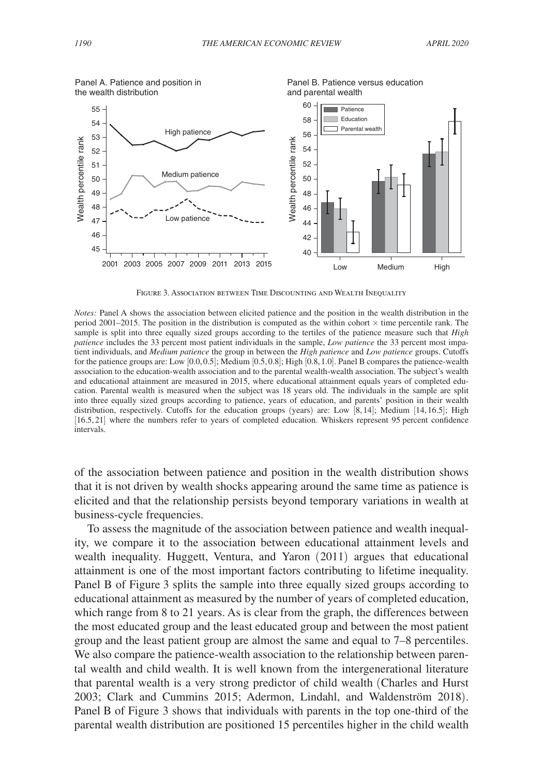Panel B. Patience versus education



<span id="page-13-0"></span>Panel A. Patience and position in the wealth distribution

Figure 3. Association between Time Discounting and Wealth Inequality

*Notes:* Panel A shows the association between elicited patience and the position in the wealth distribution in the period 2001–2015. The position in the distribution is computed as the within cohort  $\times$  time percentile rank. The sample is split into three equally sized groups according to the tertiles of the patience measure such that *High patience* includes the 33 percent most patient individuals in the sample, *Low patience* the 33 percent most impatient individuals, and *Medium patience* the group in between the *High patience* and *Low patience* groups. Cutoffs for the patience groups are: Low [0.0,0.5]; Medium [0.5,0.8]; High [0.8,1.0]. Panel B compares the patience-wealth association to the education-wealth association and to the parental wealth-wealth association. The subject's wealth and educational attainment are measured in 2015, where educational attainment equals years of completed education. Parental wealth is measured when the subject was 18 years old. The individuals in the sample are split into three equally sized groups according to patience, years of education, and parents' position in their wealth distribution, respectively. Cutoffs for the education groups (years) are: Low [8,14]; Medium [14,16.5]; High [16.5,21] where the numbers refer to years of completed education. Whiskers represent 95 percent confidence intervals.

of the association between patience and position in the wealth distribution shows that it is not driven by wealth shocks appearing around the same time as patience is elicited and that the relationship persists beyond temporary variations in wealth at business-cycle frequencies.

To assess the magnitude of the association between patience and wealth inequality, we compare it to the association between educational attainment levels and wealth inequality. Huggett, Ventura, and Yaron (2011) argues that educational attainment is one of the most important factors contributing to lifetime inequality. Panel B of Figure 3 splits the sample into three equally sized groups according to educational attainment as measured by the number of years of completed education, which range from 8 to 21 years. As is clear from the graph, the differences between the most educated group and the least educated group and between the most patient group and the least patient group are almost the same and equal to 7–8 percentiles. We also compare the patience-wealth association to the relationship between parental wealth and child wealth. It is well known from the intergenerational literature that parental wealth is a very strong predictor of child wealth (Charles and Hurst 2003; Clark and Cummins 2015; Adermon, Lindahl, and Waldenström 2018). Panel B of Figure 3 shows that individuals with parents in the top one-third of the parental wealth distribution are positioned 15 percentiles higher in the child wealth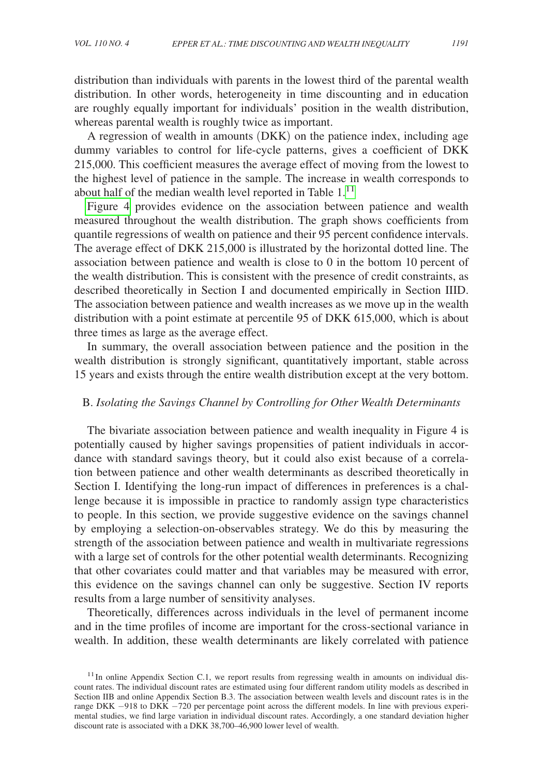distribution than individuals with parents in the lowest third of the parental wealth distribution. In other words, heterogeneity in time discounting and in education are roughly equally important for individuals' position in the wealth distribution, whereas parental wealth is roughly twice as important.

A regression of wealth in amounts (DKK) on the patience index, including age dummy variables to control for life-cycle patterns, gives a coefficient of DKK 215,000. This coefficient measures the average effect of moving from the lowest to the highest level of patience in the sample. The increase in wealth corresponds to about half of the median wealth level reported in Table  $1<sup>11</sup>$  $1<sup>11</sup>$  $1<sup>11</sup>$ 

[Figure 4](#page-15-0) provides evidence on the association between patience and wealth measured throughout the wealth distribution. The graph shows coefficients from quantile regressions of wealth on patience and their 95 percent confidence intervals. The average effect of DKK 215,000 is illustrated by the horizontal dotted line. The association between patience and wealth is close to 0 in the bottom 10 percent of the wealth distribution. This is consistent with the presence of credit constraints, as described theoretically in Section I and documented empirically in Section IIID. The association between patience and wealth increases as we move up in the wealth distribution with a point estimate at percentile 95 of DKK 615,000, which is about three times as large as the average effect.

In summary, the overall association between patience and the position in the wealth distribution is strongly significant, quantitatively important, stable across 15 years and exists through the entire wealth distribution except at the very bottom.

#### B. *Isolating the Savings Channel by Controlling for Other Wealth Determinants*

The bivariate association between patience and wealth inequality in Figure 4 is potentially caused by higher savings propensities of patient individuals in accordance with standard savings theory, but it could also exist because of a correlation between patience and other wealth determinants as described theoretically in Section I. Identifying the long-run impact of differences in preferences is a challenge because it is impossible in practice to randomly assign type characteristics to people. In this section, we provide suggestive evidence on the savings channel by employing a selection-on-observables strategy. We do this by measuring the strength of the association between patience and wealth in multivariate regressions with a large set of controls for the other potential wealth determinants. Recognizing that other covariates could matter and that variables may be measured with error, this evidence on the savings channel can only be suggestive. Section IV reports results from a large number of sensitivity analyses.

Theoretically, differences across individuals in the level of permanent income and in the time profiles of income are important for the cross-sectional variance in wealth. In addition, these wealth determinants are likely correlated with patience

<span id="page-14-0"></span> $11$  In online Appendix Section C.1, we report results from regressing wealth in amounts on individual discount rates. The individual discount rates are estimated using four different random utility models as described in Section IIB and online Appendix Section B.3. The association between wealth levels and discount rates is in the range DKK −918 to DKK −720 per percentage point across the different models. In line with previous experimental studies, we find large variation in individual discount rates. Accordingly, a one standard deviation higher discount rate is associated with a DKK 38,700–46,900 lower level of wealth.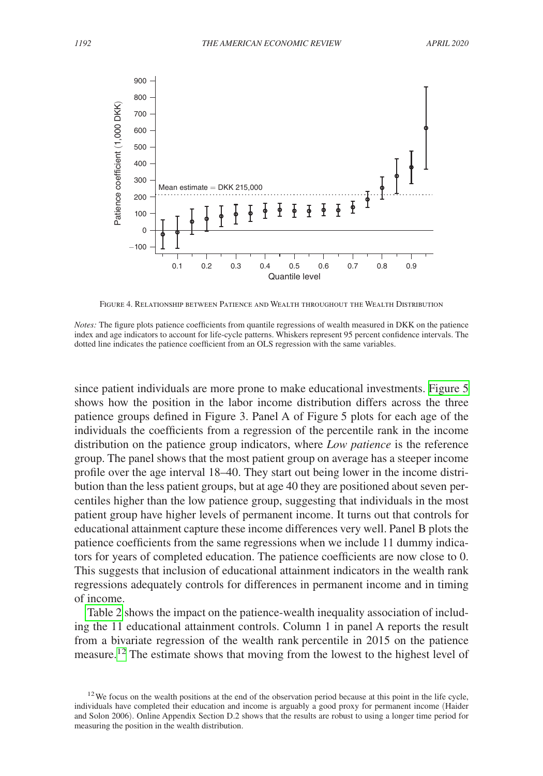<span id="page-15-0"></span>

Figure 4. Relationship between Patience and Wealth throughout the Wealth Distribution

*Notes:* The figure plots patience coefficients from quantile regressions of wealth measured in DKK on the patience index and age indicators to account for life-cycle patterns. Whiskers represent 95 percent confidence intervals. The dotted line indicates the patience coefficient from an OLS regression with the same variables.

since patient individuals are more prone to make educational investments. [Figure 5](#page-16-0) shows how the position in the labor income distribution differs across the three patience groups defined in Figure 3. Panel A of Figure 5 plots for each age of the individuals the coefficients from a regression of the percentile rank in the income distribution on the patience group indicators, where *Low patience* is the reference group. The panel shows that the most patient group on average has a steeper income profile over the age interval 18–40. They start out being lower in the income distribution than the less patient groups, but at age 40 they are positioned about seven percentiles higher than the low patience group, suggesting that individuals in the most patient group have higher levels of permanent income. It turns out that controls for educational attainment capture these income differences very well. Panel B plots the patience coefficients from the same regressions when we include 11 dummy indicators for years of completed education. The patience coefficients are now close to 0. This suggests that inclusion of educational attainment indicators in the wealth rank regressions adequately controls for differences in permanent income and in timing of income.

[Table 2](#page-17-0) shows the impact on the patience-wealth inequality association of including the 11 educational attainment controls. Column 1 in panel A reports the result from a bivariate regression of the wealth rank percentile in 2015 on the patience measure.<sup>12</sup> The estimate shows that moving from the lowest to the highest level of

<span id="page-15-1"></span> $12$  We focus on the wealth positions at the end of the observation period because at this point in the life cycle, individuals have completed their education and income is arguably a good proxy for permanent income (Haider and Solon 2006). Online Appendix Section D.2 shows that the results are robust to using a longer time period for measuring the position in the wealth distribution.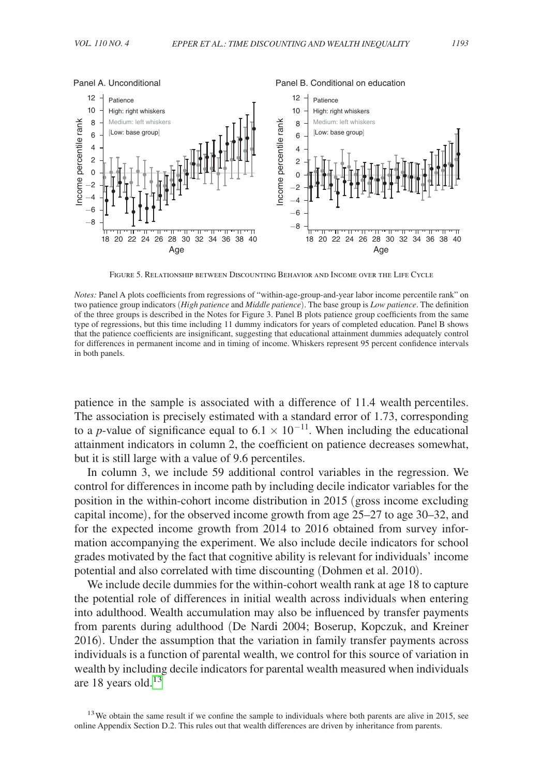<span id="page-16-0"></span>

Figure 5. Relationship between Discounting Behavior and Income over the Life Cycle

*Notes:* Panel A plots coefficients from regressions of "within-age-group-and-year labor income percentile rank" on two patience group indicators (*High patience* and *Middle patience*). The base group is *Low patience*. The definition of the three groups is described in the Notes for Figure 3. Panel B plots patience group coefficients from the same type of regressions, but this time including 11 dummy indicators for years of completed education. Panel B shows that the patience coefficients are insignificant, suggesting that educational attainment dummies adequately control for differences in permanent income and in timing of income. Whiskers represent 95 percent confidence intervals in both panels.

patience in the sample is associated with a difference of 11.4 wealth percentiles. The association is precisely estimated with a standard error of 1.73, corresponding to a *p*-value of significance equal to  $6.1 \times 10^{-11}$ . When including the educational attainment indicators in column 2, the coefficient on patience decreases somewhat, but it is still large with a value of 9.6 percentiles.

In column 3, we include 59 additional control variables in the regression. We control for differences in income path by including decile indicator variables for the position in the within-cohort income distribution in 2015 (gross income excluding capital income), for the observed income growth from age 25–27 to age 30–32, and for the expected income growth from 2014 to 2016 obtained from survey information accompanying the experiment. We also include decile indicators for school grades motivated by the fact that cognitive ability is relevant for individuals' income potential and also correlated with time discounting (Dohmen et al. 2010).

We include decile dummies for the within-cohort wealth rank at age 18 to capture the potential role of differences in initial wealth across individuals when entering into adulthood. Wealth accumulation may also be influenced by transfer payments from parents during adulthood (De Nardi 2004; Boserup, Kopczuk, and Kreiner 2016). Under the assumption that the variation in family transfer payments across individuals is a function of parental wealth, we control for this source of variation in wealth by including decile indicators for parental wealth measured when individuals are 18 years old. $13$ 

<span id="page-16-1"></span><sup>&</sup>lt;sup>13</sup>We obtain the same result if we confine the sample to individuals where both parents are alive in 2015, see online Appendix Section D.2. This rules out that wealth differences are driven by inheritance from parents.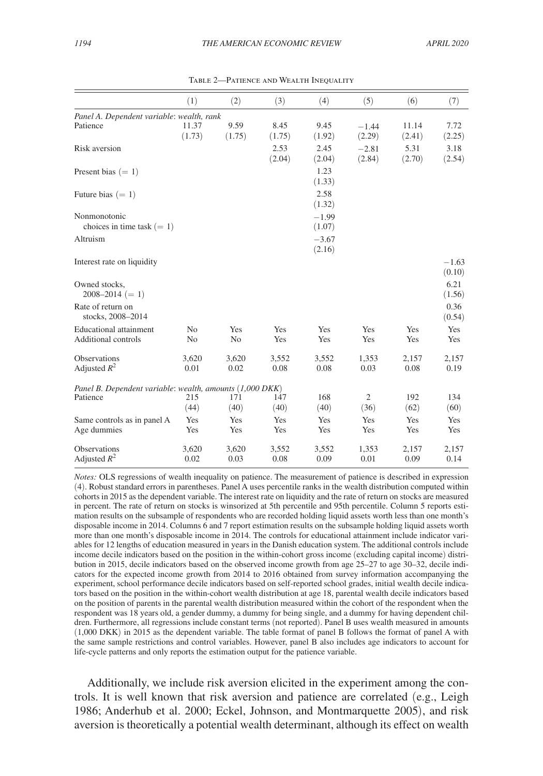<span id="page-17-0"></span>

|                                                          | (1)             | (2)                   | (3)            | (4)               | (5)                    | (6)             | (7)               |
|----------------------------------------------------------|-----------------|-----------------------|----------------|-------------------|------------------------|-----------------|-------------------|
| Panel A. Dependent variable: wealth, rank                |                 |                       |                |                   |                        |                 |                   |
| Patience                                                 | 11.37<br>(1.73) | 9.59<br>(1.75)        | 8.45<br>(1.75) | 9.45<br>(1.92)    | $-1.44$<br>(2.29)      | 11.14<br>(2.41) | 7.72<br>(2.25)    |
| Risk aversion                                            |                 |                       | 2.53<br>(2.04) | 2.45<br>(2.04)    | $-2.81$<br>(2.84)      | 5.31<br>(2.70)  | 3.18<br>(2.54)    |
| Present bias $(= 1)$                                     |                 |                       |                | 1.23<br>(1.33)    |                        |                 |                   |
| Future bias $(= 1)$                                      |                 |                       |                | 2.58<br>(1.32)    |                        |                 |                   |
| Nonmonotonic<br>choices in time task $(= 1)$             |                 |                       |                | $-1.99$<br>(1.07) |                        |                 |                   |
| Altruism                                                 |                 |                       |                | $-3.67$<br>(2.16) |                        |                 |                   |
| Interest rate on liquidity                               |                 |                       |                |                   |                        |                 | $-1.63$<br>(0.10) |
| Owned stocks,<br>$2008 - 2014 (= 1)$                     |                 |                       |                |                   |                        |                 | 6.21<br>(1.56)    |
| Rate of return on<br>stocks, 2008-2014                   |                 |                       |                |                   |                        |                 | 0.36<br>(0.54)    |
| <b>Educational attainment</b><br>Additional controls     | No<br>No        | Yes<br>N <sub>0</sub> | Yes<br>Yes     | Yes<br>Yes        | Yes<br>Yes             | Yes<br>Yes      | Yes<br>Yes        |
| Observations<br>Adjusted $R^2$                           | 3,620<br>0.01   | 3,620<br>0.02         | 3,552<br>0.08  | 3,552<br>0.08     | 1,353<br>0.03          | 2,157<br>0.08   | 2,157<br>0.19     |
| Panel B. Dependent variable: wealth, amounts (1,000 DKK) |                 |                       |                |                   |                        |                 |                   |
| Patience                                                 | 215<br>(44)     | 171<br>(40)           | 147<br>(40)    | 168<br>(40)       | $\overline{2}$<br>(36) | 192<br>(62)     | 134<br>(60)       |
| Same controls as in panel A<br>Age dummies               | Yes<br>Yes      | Yes<br>Yes            | Yes<br>Yes     | Yes<br>Yes        | Yes<br>Yes             | Yes<br>Yes      | Yes<br>Yes        |
| Observations<br>Adjusted $R^2$                           | 3,620<br>0.02   | 3,620<br>0.03         | 3,552<br>0.08  | 3,552<br>0.09     | 1,353<br>0.01          | 2,157<br>0.09   | 2,157<br>0.14     |

Table 2—Patience and Wealth Inequality

*Notes:* OLS regressions of wealth inequality on patience. The measurement of patience is described in expression (4). Robust standard errors in parentheses. Panel A uses percentile ranks in the wealth distribution computed within cohorts in 2015 as the dependent variable. The interest rate on liquidity and the rate of return on stocks are measured in percent. The rate of return on stocks is winsorized at 5th percentile and 95th percentile. Column 5 reports estimation results on the subsample of respondents who are recorded holding liquid assets worth less than one month's disposable income in 2014. Columns 6 and 7 report estimation results on the subsample holding liquid assets worth more than one month's disposable income in 2014. The controls for educational attainment include indicator variables for 12 lengths of education measured in years in the Danish education system. The additional controls include income decile indicators based on the position in the within-cohort gross income (excluding capital income) distribution in 2015, decile indicators based on the observed income growth from age 25–27 to age 30–32, decile indicators for the expected income growth from 2014 to 2016 obtained from survey information accompanying the experiment, school performance decile indicators based on self-reported school grades, initial wealth decile indicators based on the position in the within-cohort wealth distribution at age 18, parental wealth decile indicators based on the position of parents in the parental wealth distribution measured within the cohort of the respondent when the respondent was 18 years old, a gender dummy, a dummy for being single, and a dummy for having dependent children. Furthermore, all regressions include constant terms (not reported). Panel B uses wealth measured in amounts (1,000 DKK) in 2015 as the dependent variable. The table format of panel B follows the format of panel A with the same sample restrictions and control variables. However, panel B also includes age indicators to account for life-cycle patterns and only reports the estimation output for the patience variable.

Additionally, we include risk aversion elicited in the experiment among the controls. It is well known that risk aversion and patience are correlated (e.g., Leigh 1986; Anderhub et al. 2000; Eckel, Johnson, and Montmarquette 2005), and risk aversion is theoretically a potential wealth determinant, although its effect on wealth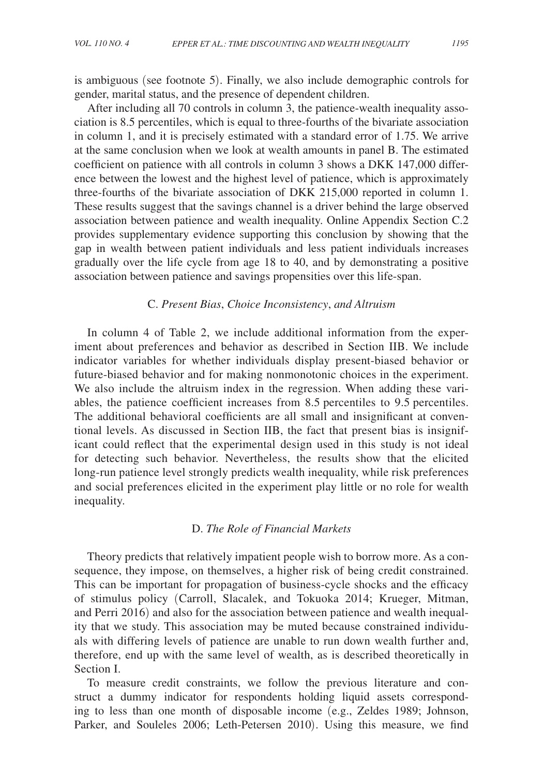is ambiguous (see footnote 5). Finally, we also include demographic controls for gender, marital status, and the presence of dependent children.

After including all 70 controls in column 3, the patience-wealth inequality association is 8.5 percentiles, which is equal to three-fourths of the bivariate association in column 1, and it is precisely estimated with a standard error of 1.75. We arrive at the same conclusion when we look at wealth amounts in panel B. The estimated coefficient on patience with all controls in column 3 shows a DKK 147,000 difference between the lowest and the highest level of patience, which is approximately three-fourths of the bivariate association of DKK 215,000 reported in column 1. These results suggest that the savings channel is a driver behind the large observed association between patience and wealth inequality. Online Appendix Section C.2 provides supplementary evidence supporting this conclusion by showing that the gap in wealth between patient individuals and less patient individuals increases gradually over the life cycle from age 18 to 40, and by demonstrating a positive association between patience and savings propensities over this life-span.

#### C. *Present Bias*, *Choice Inconsistency*, *and Altruism*

In column 4 of Table 2, we include additional information from the experiment about preferences and behavior as described in Section IIB. We include indicator variables for whether individuals display present-biased behavior or future-biased behavior and for making nonmonotonic choices in the experiment. We also include the altruism index in the regression. When adding these variables, the patience coefficient increases from 8.5 percentiles to 9.5 percentiles. The additional behavioral coefficients are all small and insignificant at conventional levels. As discussed in Section IIB, the fact that present bias is insignificant could reflect that the experimental design used in this study is not ideal for detecting such behavior. Nevertheless, the results show that the elicited long-run patience level strongly predicts wealth inequality, while risk preferences and social preferences elicited in the experiment play little or no role for wealth inequality.

#### D. *The Role of Financial Markets*

Theory predicts that relatively impatient people wish to borrow more. As a consequence, they impose, on themselves, a higher risk of being credit constrained. This can be important for propagation of business-cycle shocks and the efficacy of stimulus policy (Carroll, Slacalek, and Tokuoka 2014; Krueger, Mitman, and Perri 2016) and also for the association between patience and wealth inequality that we study. This association may be muted because constrained individuals with differing levels of patience are unable to run down wealth further and, therefore, end up with the same level of wealth, as is described theoretically in Section I.

To measure credit constraints, we follow the previous literature and construct a dummy indicator for respondents holding liquid assets corresponding to less than one month of disposable income (e.g., Zeldes 1989; Johnson, Parker, and Souleles 2006; Leth-Petersen 2010). Using this measure, we find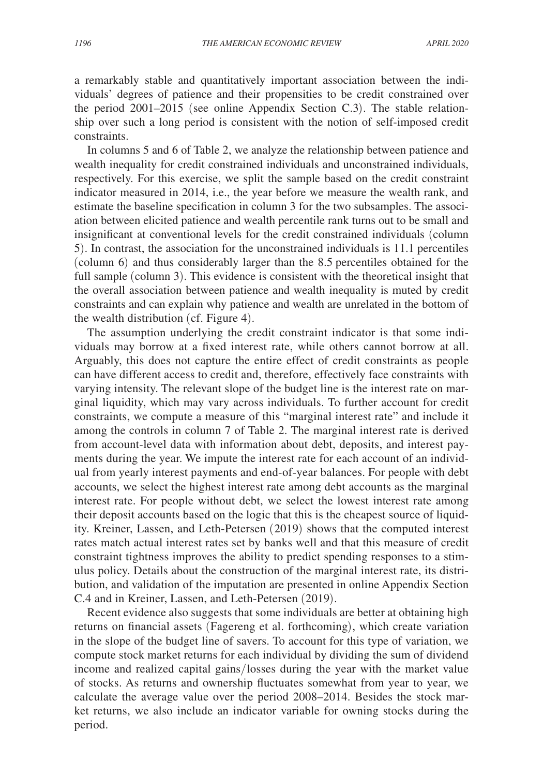a remarkably stable and quantitatively important association between the individuals' degrees of patience and their propensities to be credit constrained over the period 2001–2015 (see online Appendix Section C.3). The stable relationship over such a long period is consistent with the notion of self-imposed credit constraints.

In columns 5 and 6 of Table 2, we analyze the relationship between patience and wealth inequality for credit constrained individuals and unconstrained individuals, respectively. For this exercise, we split the sample based on the credit constraint indicator measured in 2014, i.e., the year before we measure the wealth rank, and estimate the baseline specification in column 3 for the two subsamples. The association between elicited patience and wealth percentile rank turns out to be small and insignificant at conventional levels for the credit constrained individuals (column 5). In contrast, the association for the unconstrained individuals is 11.1 percentiles (column 6) and thus considerably larger than the 8.5 percentiles obtained for the full sample (column 3). This evidence is consistent with the theoretical insight that the overall association between patience and wealth inequality is muted by credit constraints and can explain why patience and wealth are unrelated in the bottom of the wealth distribution (cf. Figure 4).

The assumption underlying the credit constraint indicator is that some individuals may borrow at a fixed interest rate, while others cannot borrow at all. Arguably, this does not capture the entire effect of credit constraints as people can have different access to credit and, therefore, effectively face constraints with varying intensity. The relevant slope of the budget line is the interest rate on marginal liquidity, which may vary across individuals. To further account for credit constraints, we compute a measure of this "marginal interest rate" and include it among the controls in column 7 of Table 2. The marginal interest rate is derived from account-level data with information about debt, deposits, and interest payments during the year. We impute the interest rate for each account of an individual from yearly interest payments and end-of-year balances. For people with debt accounts, we select the highest interest rate among debt accounts as the marginal interest rate. For people without debt, we select the lowest interest rate among their deposit accounts based on the logic that this is the cheapest source of liquidity. Kreiner, Lassen, and Leth-Petersen (2019) shows that the computed interest rates match actual interest rates set by banks well and that this measure of credit constraint tightness improves the ability to predict spending responses to a stimulus policy. Details about the construction of the marginal interest rate, its distribution, and validation of the imputation are presented in online Appendix Section C.4 and in Kreiner, Lassen, and Leth-Petersen (2019).

Recent evidence also suggests that some individuals are better at obtaining high returns on financial assets (Fagereng et al. forthcoming), which create variation in the slope of the budget line of savers. To account for this type of variation, we compute stock market returns for each individual by dividing the sum of dividend income and realized capital gains/losses during the year with the market value of stocks. As returns and ownership fluctuates somewhat from year to year, we calculate the average value over the period 2008–2014. Besides the stock market returns, we also include an indicator variable for owning stocks during the period.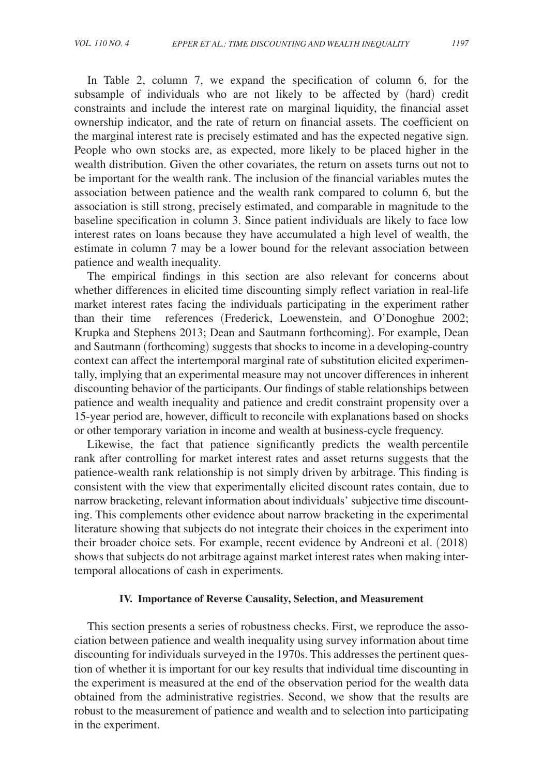In Table 2, column 7, we expand the specification of column 6, for the subsample of individuals who are not likely to be affected by (hard) credit constraints and include the interest rate on marginal liquidity, the financial asset ownership indicator, and the rate of return on financial assets. The coefficient on the marginal interest rate is precisely estimated and has the expected negative sign. People who own stocks are, as expected, more likely to be placed higher in the wealth distribution. Given the other covariates, the return on assets turns out not to be important for the wealth rank. The inclusion of the financial variables mutes the association between patience and the wealth rank compared to column 6, but the association is still strong, precisely estimated, and comparable in magnitude to the baseline specification in column 3. Since patient individuals are likely to face low interest rates on loans because they have accumulated a high level of wealth, the estimate in column 7 may be a lower bound for the relevant association between patience and wealth inequality.

The empirical findings in this section are also relevant for concerns about whether differences in elicited time discounting simply reflect variation in real-life market interest rates facing the individuals participating in the experiment rather than their time references (Frederick, Loewenstein, and O'Donoghue 2002; Krupka and Stephens 2013; Dean and Sautmann forthcoming). For example, Dean and Sautmann (forthcoming) suggests that shocks to income in a developing-country context can affect the intertemporal marginal rate of substitution elicited experimentally, implying that an experimental measure may not uncover differences in inherent discounting behavior of the participants. Our findings of stable relationships between patience and wealth inequality and patience and credit constraint propensity over a 15-year period are, however, difficult to reconcile with explanations based on shocks or other temporary variation in income and wealth at business-cycle frequency.

Likewise, the fact that patience significantly predicts the wealth percentile rank after controlling for market interest rates and asset returns suggests that the patience-wealth rank relationship is not simply driven by arbitrage. This finding is consistent with the view that experimentally elicited discount rates contain, due to narrow bracketing, relevant information about individuals' subjective time discounting. This complements other evidence about narrow bracketing in the experimental literature showing that subjects do not integrate their choices in the experiment into their broader choice sets. For example, recent evidence by Andreoni et al. (2018) shows that subjects do not arbitrage against market interest rates when making intertemporal allocations of cash in experiments.

#### **IV. Importance of Reverse Causality, Selection, and Measurement**

This section presents a series of robustness checks. First, we reproduce the association between patience and wealth inequality using survey information about time discounting for individuals surveyed in the 1970s. This addresses the pertinent question of whether it is important for our key results that individual time discounting in the experiment is measured at the end of the observation period for the wealth data obtained from the administrative registries. Second, we show that the results are robust to the measurement of patience and wealth and to selection into participating in the experiment.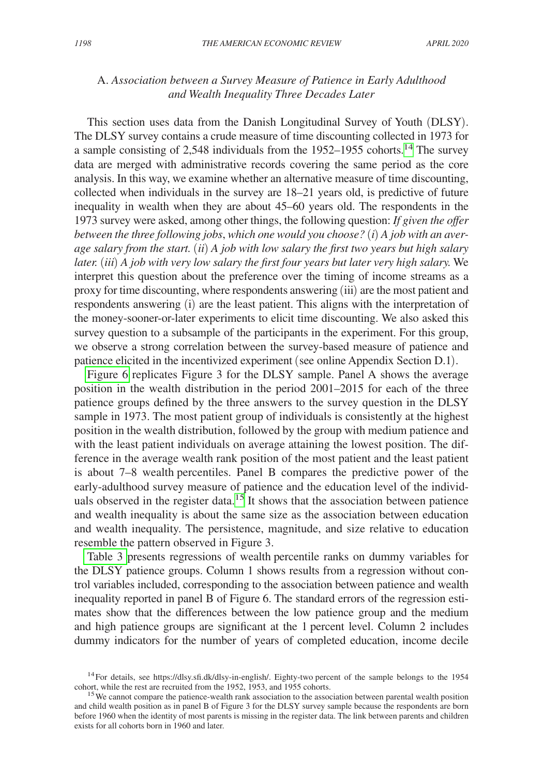# A. *Association between a Survey Measure of Patience in Early Adulthood and Wealth Inequality Three Decades Later*

This section uses data from the Danish Longitudinal Survey of Youth (DLSY). The DLSY survey contains a crude measure of time discounting collected in 1973 for a sample consisting of 2,548 individuals from the 1952–1955 cohorts.<sup>[14](#page-21-0)</sup> The survey data are merged with administrative records covering the same period as the core analysis. In this way, we examine whether an alternative measure of time discounting, collected when individuals in the survey are 18–21 years old, is predictive of future inequality in wealth when they are about 45–60 years old. The respondents in the 1973 survey were asked, among other things, the following question: *If given the offer between the three following jobs*, *which one would you choose?* (*i*) *A job with an average salary from the start.* (*ii*) *A job with low salary the first two years but high salary later.* (*iii*) *A job with very low salary the first four years but later very high salary.* We interpret this question about the preference over the timing of income streams as a proxy for time discounting, where respondents answering (iii) are the most patient and respondents answering (i) are the least patient. This aligns with the interpretation of the money-sooner-or-later experiments to elicit time discounting. We also asked this survey question to a subsample of the participants in the experiment. For this group, we observe a strong correlation between the survey-based measure of patience and patience elicited in the incentivized experiment (see online Appendix Section D.1).

[Figure 6](#page-22-0) replicates Figure 3 for the DLSY sample. Panel A shows the average position in the wealth distribution in the period 2001–2015 for each of the three patience groups defined by the three answers to the survey question in the DLSY sample in 1973. The most patient group of individuals is consistently at the highest position in the wealth distribution, followed by the group with medium patience and with the least patient individuals on average attaining the lowest position. The difference in the average wealth rank position of the most patient and the least patient is about 7–8 wealth percentiles. Panel B compares the predictive power of the early-adulthood survey measure of patience and the education level of the individuals observed in the register data.<sup>15</sup> It shows that the association between patience and wealth inequality is about the same size as the association between education and wealth inequality. The persistence, magnitude, and size relative to education resemble the pattern observed in Figure 3.

[Table 3](#page-22-0) presents regressions of wealth percentile ranks on dummy variables for the DLSY patience groups. Column 1 shows results from a regression without control variables included, corresponding to the association between patience and wealth inequality reported in panel B of Figure 6. The standard errors of the regression estimates show that the differences between the low patience group and the medium and high patience groups are significant at the 1 percent level. Column 2 includes dummy indicators for the number of years of completed education, income decile

<span id="page-21-0"></span><sup>&</sup>lt;sup>14</sup>For details, see [https://dlsy.sfi.dk/dlsy-in-english/.](https://dlsy.sfi.dk/­­dlsy-in-english/) Eighty-two percent of the sample belongs to the 1954 cohort, while the rest are recruited from the 1952, 1953, and 1955 cohorts.

<span id="page-21-1"></span> $15$  We cannot compare the patience-wealth rank association to the association between parental wealth position and child wealth position as in panel B of Figure 3 for the DLSY survey sample because the respondents are born before 1960 when the identity of most parents is missing in the register data. The link between parents and children exists for all cohorts born in 1960 and later.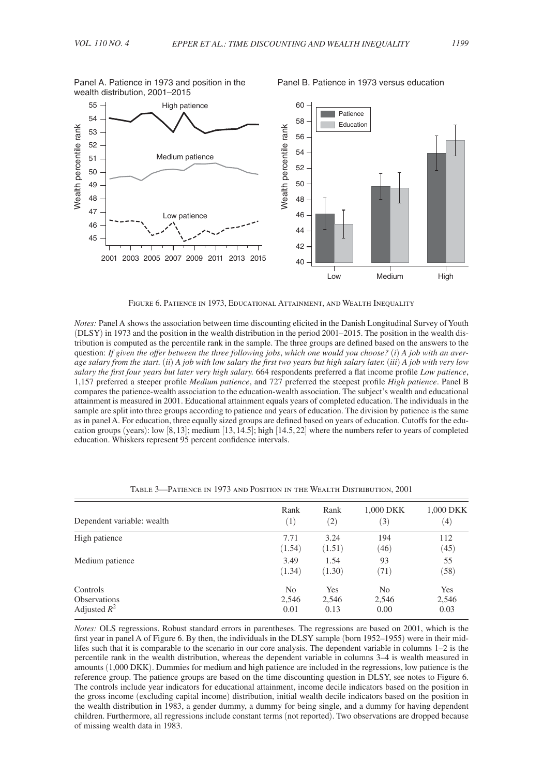<span id="page-22-0"></span>Panel A. Patience in 1973 and position in the wealth distribution, 2001–2015



Figure 6. Patience in 1973, Educational Attainment, and Wealth Inequality

*Notes:* Panel A shows the association between time discounting elicited in the Danish Longitudinal Survey of Youth (DLSY) in 1973 and the position in the wealth distribution in the period 2001–2015. The position in the wealth distribution is computed as the percentile rank in the sample. The three groups are defined based on the answers to the question: *If given the offer between the three following jobs*, *which one would you choose?* (*i*) *A job with an average salary from the start.* (*ii*) *A job with low salary the first two years but high salary later.* (*iii*) *A job with very low salary the first four years but later very high salary.* 664 respondents preferred a flat income profile *Low patience*, 1,157 preferred a steeper profile *Medium patience*, and 727 preferred the steepest profile *High patience*. Panel B compares the patience-wealth association to the education-wealth association. The subject's wealth and educational attainment is measured in 2001. Educational attainment equals years of completed education. The individuals in the sample are split into three groups according to patience and years of education. The division by patience is the same as in panel A. For education, three equally sized groups are defined based on years of education. Cutoffs for the education groups (years): low [8,13]; medium [13,14.5]; high [14.5,22] where the numbers refer to years of completed education. Whiskers represent 95 percent confidence intervals.

|                            |                |                           |                  | 1,000 DKK<br>(4) |  |
|----------------------------|----------------|---------------------------|------------------|------------------|--|
| Dependent variable: wealth | Rank<br>(1)    | Rank<br>$\left( 2\right)$ | 1,000 DKK<br>(3) |                  |  |
| High patience              | 7.71           | 3.24                      | 194              | 112              |  |
|                            | (1.54)         | (1.51)                    | (46)             | (45)             |  |
| Medium patience            | 3.49           | 1.54                      | 93               | 55               |  |
|                            | (1.34)         | (1.30)                    | (71)             | (58)             |  |
| Controls                   | N <sub>0</sub> | Yes                       | N <sub>0</sub>   | Yes              |  |
| <b>Observations</b>        | 2,546          | 2,546                     | 2,546            | 2,546            |  |
| Adjusted $R^2$             | 0.01           | 0.13                      | 0.00             | 0.03             |  |

Table 3—Patience in 1973 and Position in the Wealth Distribution, 2001

*Notes:* OLS regressions. Robust standard errors in parentheses. The regressions are based on 2001, which is the first year in panel A of Figure 6. By then, the individuals in the DLSY sample (born 1952–1955) were in their midlifes such that it is comparable to the scenario in our core analysis. The dependent variable in columns 1–2 is the percentile rank in the wealth distribution, whereas the dependent variable in columns 3–4 is wealth measured in amounts (1,000 DKK). Dummies for medium and high patience are included in the regressions, low patience is the reference group. The patience groups are based on the time discounting question in DLSY, see notes to Figure 6. The controls include year indicators for educational attainment, income decile indicators based on the position in the gross income (excluding capital income) distribution, initial wealth decile indicators based on the position in the wealth distribution in 1983, a gender dummy, a dummy for being single, and a dummy for having dependent children. Furthermore, all regressions include constant terms (not reported). Two observations are dropped because of missing wealth data in 1983.

Panel B. Patience in 1973 versus education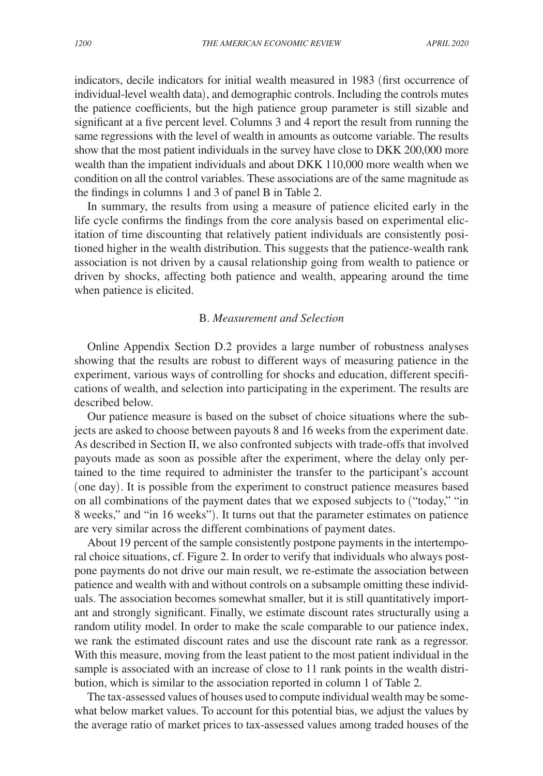indicators, decile indicators for initial wealth measured in 1983 (first occurrence of individual-level wealth data), and demographic controls. Including the controls mutes the patience coefficients, but the high patience group parameter is still sizable and significant at a five percent level. Columns 3 and 4 report the result from running the same regressions with the level of wealth in amounts as outcome variable. The results show that the most patient individuals in the survey have close to DKK 200,000 more wealth than the impatient individuals and about DKK 110,000 more wealth when we condition on all the control variables. These associations are of the same magnitude as the findings in columns 1 and 3 of panel B in Table 2.

In summary, the results from using a measure of patience elicited early in the life cycle confirms the findings from the core analysis based on experimental elicitation of time discounting that relatively patient individuals are consistently positioned higher in the wealth distribution. This suggests that the patience-wealth rank association is not driven by a causal relationship going from wealth to patience or driven by shocks, affecting both patience and wealth, appearing around the time when patience is elicited.

## B. *Measurement and Selection*

Online Appendix Section D.2 provides a large number of robustness analyses showing that the results are robust to different ways of measuring patience in the experiment, various ways of controlling for shocks and education, different specifications of wealth, and selection into participating in the experiment. The results are described below.

Our patience measure is based on the subset of choice situations where the subjects are asked to choose between payouts 8 and 16 weeks from the experiment date. As described in Section II, we also confronted subjects with trade-offs that involved payouts made as soon as possible after the experiment, where the delay only pertained to the time required to administer the transfer to the participant's account (one day). It is possible from the experiment to construct patience measures based on all combinations of the payment dates that we exposed subjects to ("today," "in 8 weeks," and "in 16 weeks"). It turns out that the parameter estimates on patience are very similar across the different combinations of payment dates.

About 19 percent of the sample consistently postpone payments in the intertemporal choice situations, cf. Figure 2. In order to verify that individuals who always postpone payments do not drive our main result, we re-estimate the association between patience and wealth with and without controls on a subsample omitting these individuals. The association becomes somewhat smaller, but it is still quantitatively important and strongly significant. Finally, we estimate discount rates structurally using a random utility model. In order to make the scale comparable to our patience index, we rank the estimated discount rates and use the discount rate rank as a regressor. With this measure, moving from the least patient to the most patient individual in the sample is associated with an increase of close to 11 rank points in the wealth distribution, which is similar to the association reported in column 1 of Table 2.

The tax-assessed values of houses used to compute individual wealth may be somewhat below market values. To account for this potential bias, we adjust the values by the average ratio of market prices to tax-assessed values among traded houses of the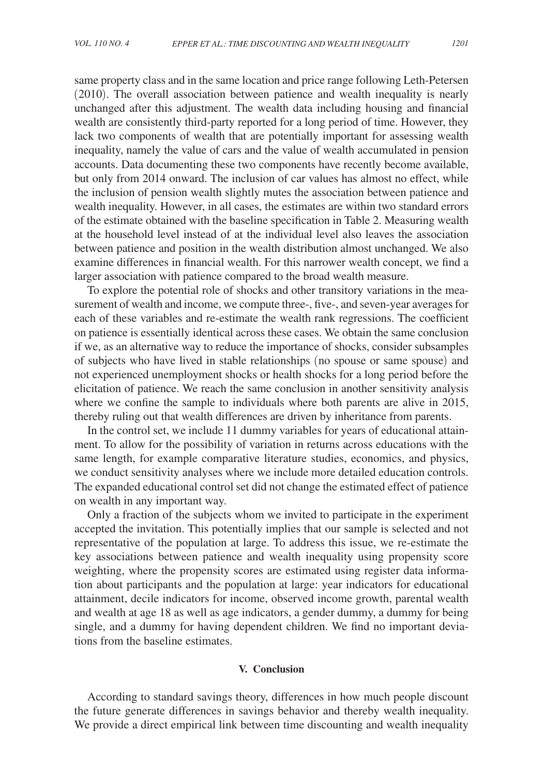same property class and in the same location and price range following Leth-Petersen (2010). The overall association between patience and wealth inequality is nearly unchanged after this adjustment. The wealth data including housing and financial wealth are consistently third-party reported for a long period of time. However, they lack two components of wealth that are potentially important for assessing wealth inequality, namely the value of cars and the value of wealth accumulated in pension accounts. Data documenting these two components have recently become available, but only from 2014 onward. The inclusion of car values has almost no effect, while the inclusion of pension wealth slightly mutes the association between patience and wealth inequality. However, in all cases, the estimates are within two standard errors of the estimate obtained with the baseline specification in Table 2. Measuring wealth at the household level instead of at the individual level also leaves the association between patience and position in the wealth distribution almost unchanged. We also examine differences in financial wealth. For this narrower wealth concept, we find a larger association with patience compared to the broad wealth measure.

To explore the potential role of shocks and other transitory variations in the measurement of wealth and income, we compute three-, five-, and seven-year averages for each of these variables and re-estimate the wealth rank regressions. The coefficient on patience is essentially identical across these cases. We obtain the same conclusion if we, as an alternative way to reduce the importance of shocks, consider subsamples of subjects who have lived in stable relationships (no spouse or same spouse) and not experienced unemployment shocks or health shocks for a long period before the elicitation of patience. We reach the same conclusion in another sensitivity analysis where we confine the sample to individuals where both parents are alive in 2015, thereby ruling out that wealth differences are driven by inheritance from parents.

In the control set, we include 11 dummy variables for years of educational attainment. To allow for the possibility of variation in returns across educations with the same length, for example comparative literature studies, economics, and physics, we conduct sensitivity analyses where we include more detailed education controls. The expanded educational control set did not change the estimated effect of patience on wealth in any important way.

Only a fraction of the subjects whom we invited to participate in the experiment accepted the invitation. This potentially implies that our sample is selected and not representative of the population at large. To address this issue, we re-estimate the key associations between patience and wealth inequality using propensity score weighting, where the propensity scores are estimated using register data information about participants and the population at large: year indicators for educational attainment, decile indicators for income, observed income growth, parental wealth and wealth at age 18 as well as age indicators, a gender dummy, a dummy for being single, and a dummy for having dependent children. We find no important deviations from the baseline estimates.

#### **V. Conclusion**

According to standard savings theory, differences in how much people discount the future generate differences in savings behavior and thereby wealth inequality. We provide a direct empirical link between time discounting and wealth inequality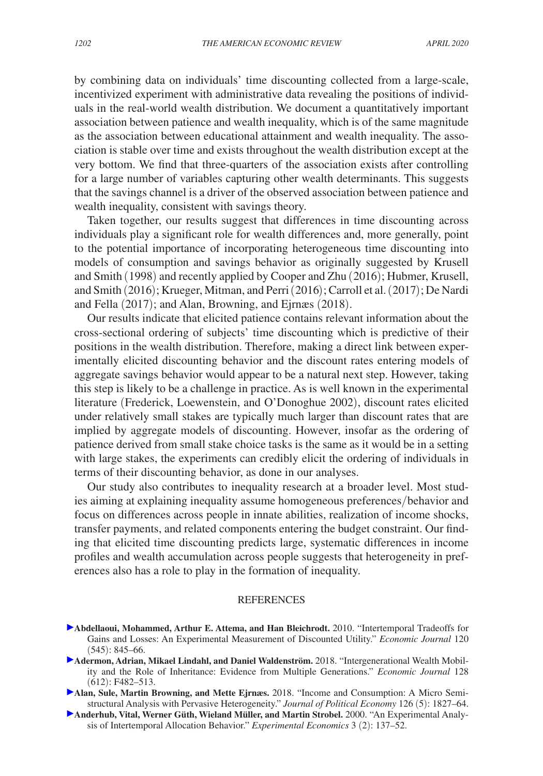by combining data on individuals' time discounting collected from a large-scale, incentivized experiment with administrative data revealing the positions of individuals in the real-world wealth distribution. We document a quantitatively important association between patience and wealth inequality, which is of the same magnitude as the association between educational attainment and wealth inequality. The association is stable over time and exists throughout the wealth distribution except at the very bottom. We find that three-quarters of the association exists after controlling for a large number of variables capturing other wealth determinants. This suggests that the savings channel is a driver of the observed association between patience and wealth inequality, consistent with savings theory.

Taken together, our results suggest that differences in time discounting across individuals play a significant role for wealth differences and, more generally, point to the potential importance of incorporating heterogeneous time discounting into models of consumption and savings behavior as originally suggested by Krusell and Smith (1998) and recently applied by Cooper and Zhu (2016); Hubmer, Krusell, and Smith (2016); Krueger, Mitman, and Perri (2016); Carroll et al. (2017); De Nardi and Fella (2017); and Alan, Browning, and Ejrnæs (2018).

Our results indicate that elicited patience contains relevant information about the cross-sectional ordering of subjects' time discounting which is predictive of their positions in the wealth distribution. Therefore, making a direct link between experimentally elicited discounting behavior and the discount rates entering models of aggregate savings behavior would appear to be a natural next step. However, taking this step is likely to be a challenge in practice. As is well known in the experimental literature (Frederick, Loewenstein, and O'Donoghue 2002), discount rates elicited under relatively small stakes are typically much larger than discount rates that are implied by aggregate models of discounting. However, insofar as the ordering of patience derived from small stake choice tasks is the same as it would be in a setting with large stakes, the experiments can credibly elicit the ordering of individuals in terms of their discounting behavior, as done in our analyses.

Our study also contributes to inequality research at a broader level. Most studies aiming at explaining inequality assume homogeneous preferences/behavior and focus on differences across people in innate abilities, realization of income shocks, transfer payments, and related components entering the budget constraint. Our finding that elicited time discounting predicts large, systematic differences in income profiles and wealth accumulation across people suggests that heterogeneity in preferences also has a role to play in the formation of inequality.

#### REFERENCES

- **[A](http://pubs.aeaweb.org/action/showLinks?crossref=10.1111%2Fj.1468-0297.2009.02308.x&citationId=p_1)bdellaoui, Mohammed, Arthur E. Attema, and Han Bleichrodt.** 2010. "Intertemporal Tradeoffs for Gains and Losses: An Experimental Measurement of Discounted Utility." *Economic Journal* 120  $(545): 845-66.$
- **[A](http://pubs.aeaweb.org/action/showLinks?crossref=10.1111%2Fecoj.12535&citationId=p_2)dermon, Adrian, Mikael Lindahl, and Daniel Waldenström.** 2018. "Intergenerational Wealth Mobility and the Role of Inheritance: Evidence from Multiple Generations." *Economic Journal* 128 (612): F482–513.
- **[A](http://pubs.aeaweb.org/action/showLinks?crossref=10.1086%2F699186&citationId=p_3)lan, Sule, Martin Browning, and Mette Ejrnæs.** 2018. "Income and Consumption: A Micro Semistructural Analysis with Pervasive Heterogeneity." *Journal of Political Economy* 126 (5): 1827–64.
- **[A](http://pubs.aeaweb.org/action/showLinks?crossref=10.1023%2FA%3A1026589319018&citationId=p_4)nderhub, Vital, Werner Güth, Wieland Müller, and Martin Strobel.** 2000. "An Experimental Analysis of Intertemporal Allocation Behavior." *Experimental Economics* 3 (2): 137–52.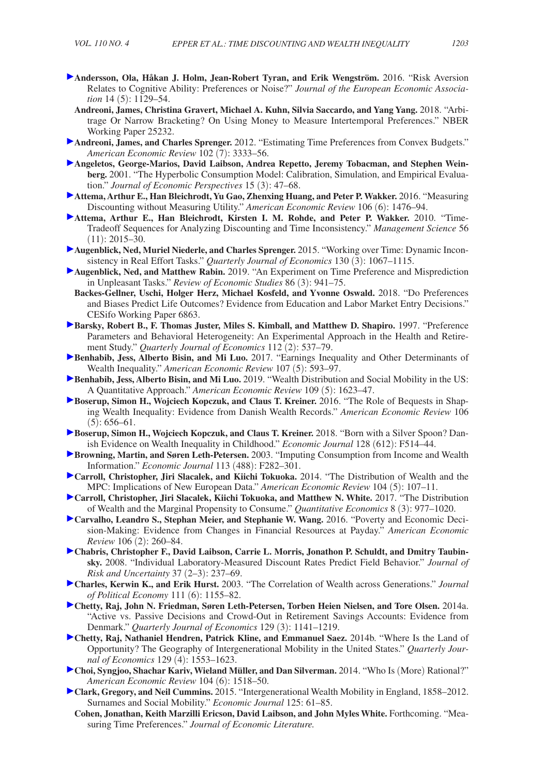- **Andersson, Ola, Håkan J. Holm, Jean-Robert Tyran, and Erik Wengström.** 2016. "Risk Aversion Relates to Cognitive Ability: Preferences or Noise?" *Journal of the European Economic Association* 14 (5): 1129–54.
- **Andreoni, James, Christina Gravert, Michael A. Kuhn, Silvia Saccardo, and Yang Yang.** 2018. "Arbitrage Or Narrow Bracketing? On Using Money to Measure Intertemporal Preferences." NBER Working Paper 25232.
- **Andreoni, James, and Charles Sprenger.** 2012. "Estimating Time Preferences from Convex Budgets." *American Economic Review* 102 (7): 3333–56.
- **Angeletos, George-Marios, David Laibson, Andrea Repetto, Jeremy Tobacman, and Stephen Weinberg.** 2001. "The Hyperbolic Consumption Model: Calibration, Simulation, and Empirical Evaluation." *Journal of Economic Perspectives* 15 (3): 47–68.
- **Attema, Arthur E., Han Bleichrodt, Yu Gao, Zhenxing Huang, and Peter P. Wakker.** 2016. "Measuring Discounting without Measuring Utility." *American Economic Review* 106 (6): 1476–94.
- **Attema, Arthur E., Han Bleichrodt, Kirsten I. M. Rohde, and Peter P. Wakker.** 2010. "Time-Tradeoff Sequences for Analyzing Discounting and Time Inconsistency." *Management Science* 56 (11): 2015–30.
- **Augenblick, Ned, Muriel Niederle, and Charles Sprenger.** 2015. "Working over Time: Dynamic Inconsistency in Real Effort Tasks." *Quarterly Journal of Economics* 130 (3): 1067–1115.
- **Augenblick, Ned, and Matthew Rabin.** 2019. "An Experiment on Time Preference and Misprediction in Unpleasant Tasks." *Review of Economic Studies* 86 (3): 941–75.
	- **Backes-Gellner, Uschi, Holger Herz, Michael Kosfeld, and Yvonne Oswald.** 2018. "Do Preferences and Biases Predict Life Outcomes? Evidence from Education and Labor Market Entry Decisions." CESifo Working Paper 6863.
- **Barsky, Robert B., F. Thomas Juster, Miles S. Kimball, and Matthew D. Shapiro.** 1997. "Preference Parameters and Behavioral Heterogeneity: An Experimental Approach in the Health and Retirement Study." *Quarterly Journal of Economics* 112 (2): 537–79.
- **Benhabib, Jess, Alberto Bisin, and Mi Luo.** 2017. "Earnings Inequality and Other Determinants of Wealth Inequality." *American Economic Review* 107 (5): 593–97.
- **Benhabib, Jess, Alberto Bisin, and Mi Luo.** 2019. "Wealth Distribution and Social Mobility in the US: A Quantitative Approach." *American Economic Review* 109 (5): 1623–47.
- **Boserup, Simon H., Wojciech Kopczuk, and Claus T. Kreiner.** 2016. "The Role of Bequests in Shaping Wealth Inequality: Evidence from Danish Wealth Records." *American Economic Review* 106  $(5): 656-61.$
- **Boserup, Simon H., Wojciech Kopczuk, and Claus T. Kreiner.** 2018. "Born with a Silver Spoon? Danish Evidence on Wealth Inequality in Childhood." *Economic Journal* 128 (612): F514–44.
- **Browning, Martin, and Søren Leth-Petersen.** 2003. "Imputing Consumption from Income and Wealth Information." *Economic Journal* 113 (488): F282–301.
- **Carroll, Christopher, Jiri Slacalek, and Kiichi Tokuoka.** 2014. "The Distribution of Wealth and the MPC: Implications of New European Data." *American Economic Review* 104 (5): 107–11.
- **Carroll, Christopher, Jiri Slacalek, Kiichi Tokuoka, and Matthew N. White.** 2017. "The Distribution of Wealth and the Marginal Propensity to Consume." *Quantitative Economics* 8 (3): 977–1020.
- **Carvalho, Leandro S., Stephan Meier, and Stephanie W. Wang.** 2016. "Poverty and Economic Decision-Making: Evidence from Changes in Financial Resources at Payday." *American Economic Review* 106 (2): 260–84.
- **Chabris, Christopher F., David Laibson, Carrie L. Morris, Jonathon P. Schuldt, and Dmitry Taubinsky.** 2008. "Individual Laboratory-Measured Discount Rates Predict Field Behavior." *Journal of Risk and Uncertainty* 37 (2–3): 237–69.
- **Charles, Kerwin K., and Erik Hurst.** 2003. "The Correlation of Wealth across Generations." *Journal of Political Economy* 111 (6): 1155–82.
- **Chetty, Raj, John N. Friedman, Søren Leth-Petersen, Torben Heien Nielsen, and Tore Olsen.** 2014a. "Active vs. Passive Decisions and Crowd-Out in Retirement Savings Accounts: Evidence from Denmark." *Quarterly Journal of Economics* 129 (3): 1141–1219.
- **Chetty, Raj, Nathaniel Hendren, Patrick Kline, and Emmanuel Saez.** 2014b. "Where Is the Land of Opportunity? The Geography of Intergenerational Mobility in the United States." *Quarterly Journal of Economics* 129 (4): 1553–1623.
- **Choi, Syngjoo, Shachar Kariv, Wieland Müller, and Dan Silverman.** 2014. "Who Is (More) Rational?" *American Economic Review* 104 (6): 1518–50.
- **Clark, Gregory, and Neil Cummins.** 2015. "Intergenerational Wealth Mobility in England, 1858–2012. Surnames and Social Mobility." *Economic Journal* 125: 61–85.
	- **Cohen, Jonathan, Keith Marzilli Ericson, David Laibson, and John Myles White.** Forthcoming. "Measuring Time Preferences." *Journal of Economic Literature.*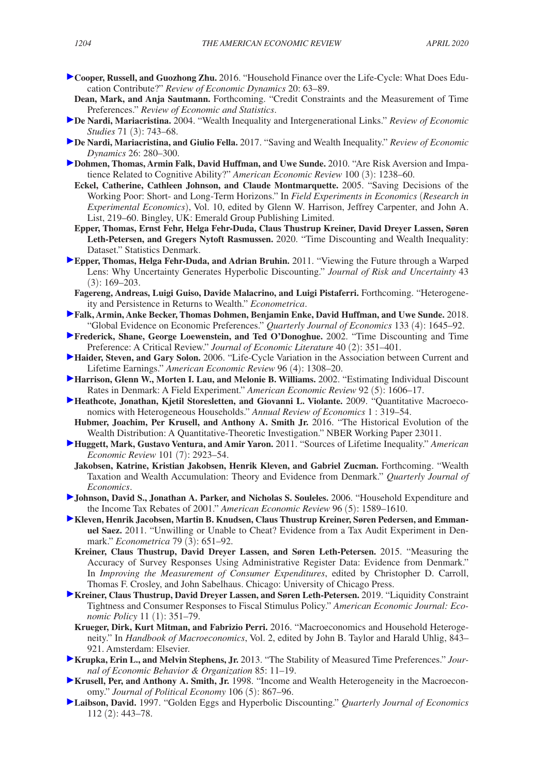- **Cooper, Russell, and Guozhong Zhu.** 2016. "Household Finance over the Life-Cycle: What Does Education Contribute?" *Review of Economic Dynamics* 20: 63–89.
- **Dean, Mark, and Anja Sautmann.** Forthcoming. "Credit Constraints and the Measurement of Time Preferences." *Review of Economic and Statistics*.
- **De Nardi, Mariacristina.** 2004. "Wealth Inequality and Intergenerational Links." *Review of Economic Studies* 71 (3): 743–68.
- **De Nardi, Mariacristina, and Giulio Fella.** 2017. "Saving and Wealth Inequality." *Review of Economic Dynamics* 26: 280–300.
- **Dohmen, Thomas, Armin Falk, David Huffman, and Uwe Sunde.** 2010. "Are Risk Aversion and Impatience Related to Cognitive Ability?" *American Economic Review* 100 (3): 1238–60.
- **Eckel, Catherine, Cathleen Johnson, and Claude Montmarquette.** 2005. "Saving Decisions of the Working Poor: Short- and Long-Term Horizons." In *Field Experiments in Economics* (*Research in Experimental Economics*), Vol. 10, edited by Glenn W. Harrison, Jeffrey Carpenter, and John A. List, 219–60. Bingley, UK: Emerald Group Publishing Limited.
- **Epper, Thomas, Ernst Fehr, Helga Fehr-Duda, Claus Thustrup Kreiner, David Dreyer Lassen, Søren Leth-Petersen, and Gregers Nytoft Rasmussen.** 2020. "Time Discounting and Wealth Inequality: Dataset." Statistics Denmark.
- **Epper, Thomas, Helga Fehr-Duda, and Adrian Bruhin.** 2011. "Viewing the Future through a Warped Lens: Why Uncertainty Generates Hyperbolic Discounting." *Journal of Risk and Uncertainty* 43 (3): 169–203.
	- **Fagereng, Andreas, Luigi Guiso, Davide Malacrino, and Luigi Pistaferri.** Forthcoming. "Heterogeneity and Persistence in Returns to Wealth." *Econometrica*.
- **Falk, Armin, Anke Becker, Thomas Dohmen, Benjamin Enke, David Huffman, and Uwe Sunde.** 2018. "Global Evidence on Economic Preferences." *Quarterly Journal of Economics* 133 (4): 1645–92.
- **Frederick, Shane, George Loewenstein, and Ted O'Donoghue.** 2002. "Time Discounting and Time Preference: A Critical Review." *Journal of Economic Literature* 40 (2): 351–401.
- **Haider, Steven, and Gary Solon.** 2006. "Life-Cycle Variation in the Association between Current and Lifetime Earnings." *American Economic Review* 96 (4): 1308–20.
- **Harrison, Glenn W., Morten I. Lau, and Melonie B. Williams.** 2002. "Estimating Individual Discount Rates in Denmark: A Field Experiment." *American Economic Review* 92 (5): 1606–17.
- Heathcote, Jonathan, Kjetil Storesletten, and Giovanni L. Violante. 2009. "Quantitative Macroeconomics with Heterogeneous Households." *Annual Review of Economics* 1 : 319–54.
- **Hubmer, Joachim, Per Krusell, and Anthony A. Smith Jr.** 2016. "The Historical Evolution of the Wealth Distribution: A Quantitative-Theoretic Investigation." NBER Working Paper 23011.
- **Huggett, Mark, Gustavo Ventura, and Amir Yaron.** 2011. "Sources of Lifetime Inequality." *American Economic Review* 101 (7): 2923–54.
- **Jakobsen, Katrine, Kristian Jakobsen, Henrik Kleven, and Gabriel Zucman.** Forthcoming. "Wealth Taxation and Wealth Accumulation: Theory and Evidence from Denmark." *Quarterly Journal of Economics*.
- **Johnson, David S., Jonathan A. Parker, and Nicholas S. Souleles.** 2006. "Household Expenditure and the Income Tax Rebates of 2001." *American Economic Review* 96 (5): 1589–1610.
- **Kleven, Henrik Jacobsen, Martin B. Knudsen, Claus Thustrup Kreiner, Søren Pedersen, and Emmanuel Saez.** 2011. "Unwilling or Unable to Cheat? Evidence from a Tax Audit Experiment in Denmark." *Econometrica* 79 (3): 651–92.
	- **Kreiner, Claus Thustrup, David Dreyer Lassen, and Søren Leth-Petersen.** 2015. "Measuring the Accuracy of Survey Responses Using Administrative Register Data: Evidence from Denmark." In *Improving the Measurement of Consumer Expenditures*, edited by Christopher D. Carroll, Thomas F. Crosley, and John Sabelhaus. Chicago: University of Chicago Press.
- **Kreiner, Claus Thustrup, David Dreyer Lassen, and Søren Leth-Petersen.** 2019. "Liquidity Constraint Tightness and Consumer Responses to Fiscal Stimulus Policy." *American Economic Journal: Economic Policy* 11 (1): 351–79.
	- **Krueger, Dirk, Kurt Mitman, and Fabrizio Perri.** 2016. "Macroeconomics and Household Heterogeneity." In *Handbook of Macroeconomics*, Vol. 2, edited by John B. Taylor and Harald Uhlig, 843– 921. Amsterdam: Elsevier.
- **Krupka, Erin L., and Melvin Stephens, Jr.** 2013. "The Stability of Measured Time Preferences." *Journal of Economic Behavior & Organization* 85: 11–19.
- **Krusell, Per, and Anthony A. Smith, Jr.** 1998. "Income and Wealth Heterogeneity in the Macroeconomy." *Journal of Political Economy* 106 (5): 867–96.
- **Laibson, David.** 1997. "Golden Eggs and Hyperbolic Discounting." *Quarterly Journal of Economics*  112 (2): 443–78.